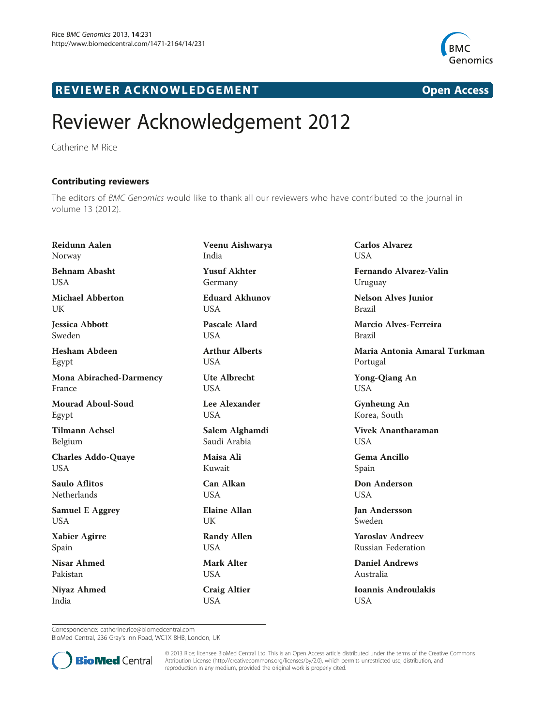

## R EVI EW E R ACKNOW L EDG EM EN T Open Access

## Reviewer Acknowledgement 2012

Catherine M Rice

Contributing reviewers The editors of BMC Genomics would like to thank all our reviewers who have contributed to the journal in volume 13 (2012).

Reidunn Aalen Norway Behnam Abasht USA Michael Abberton **I** IK Jessica Abbott Sweden Hesham Abdeen Egypt Mona Abirached-Darmency France Mourad Aboul-Soud Egypt Tilmann Achsel Belgium Charles Addo-Quaye USA Saulo Aflitos Netherlands Samuel E Aggrey USA Xabier Agirre Spain Nisar Ahmed Pakistan Niyaz Ahmed India

Veenu Aishwarya India Yusuf Akhter Germany Eduard Akhunov USA

Pascale Alard USA

Arthur Alberts **USA** 

Ute Albrecht **USA** 

Lee Alexander **USA** 

Salem Alghamdi Saudi Arabia

Maisa Ali Kuwait

Can Alkan **USA** 

Elaine Allan UK

Randy Allen USA

Mark Alter **USA** 

Craig Altier USA

Carlos Alvarez **LISA** Fernando Alvarez-Valin

Nelson Alves Junior Brazil

Uruguay

Marcio Alves-Ferreira Brazil

Maria Antonia Amaral Turkman Portugal

Yong-Qiang An USA

Gynheung An Korea, South

Vivek Anantharaman **USA** 

Gema Ancillo Spain

Don Anderson **USA** 

Jan Andersson Sweden

Yaroslav Andreev Russian Federation

Daniel Andrews Australia

Ioannis Androulakis USA

Correspondence: [catherine.rice@biomedcentral.com](mailto:catherine.rice@biomedcentral.com)

BioMed Central, 236 Gray's Inn Road, WC1X 8HB, London, UK



© 2013 Rice; licensee BioMed Central Ltd. This is an Open Access article distributed under the terms of the Creative Commons Attribution License (<http://creativecommons.org/licenses/by/2.0>), which permits unrestricted use, distribution, and reproduction in any medium, provided the original work is properly cited.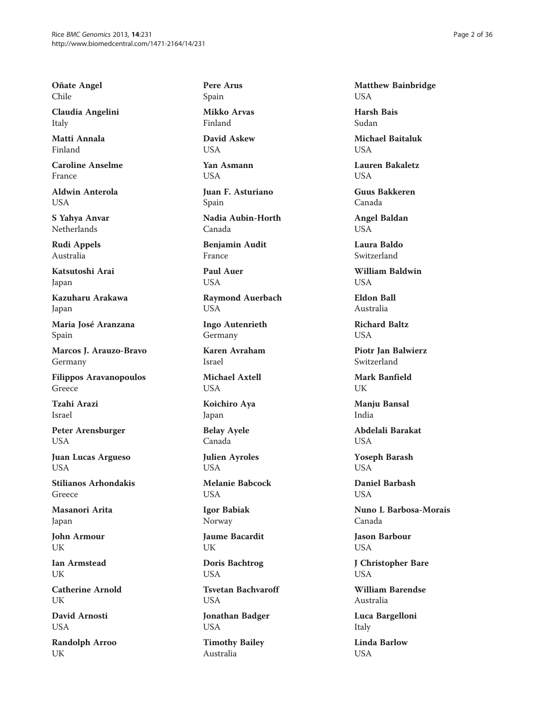Oñate Angel Chile

Claudia Angelini Italy

Matti Annala Finland

Caroline Anselme France

Aldwin Anterola **I** ISA

S Yahya Anvar Netherlands

Rudi Appels Australia

Katsutoshi Arai Japan

Kazuharu Arakawa Japan

Maria José Aranzana Spain

Marcos J. Arauzo-Bravo Germany

Filippos Aravanopoulos Greece

Tzahi Arazi Israel

Peter Arensburger USA

Juan Lucas Argueso USA

Stilianos Arhondakis Greece

Masanori Arita Japan

John Armour UK

Ian Armstead UK

Catherine Arnold UK

David Arnosti USA

Randolph Arroo UK

Pere Arus Spain

Mikko Arvas Finland

David Askew USA

Yan Asmann USA

Juan F. Asturiano Spain

Nadia Aubin-Horth Canada

Benjamin Audit France

Paul Auer USA

Raymond Auerbach USA

Ingo Autenrieth Germany

Karen Avraham Israel

Michael Axtell USA

Koichiro Aya Japan

Belay Ayele Canada

Julien Ayroles USA

Melanie Babcock USA

Igor Babiak Norway

Jaume Bacardit UK

Doris Bachtrog USA

Tsvetan Bachvaroff USA

Jonathan Badger USA

Timothy Bailey Australia

Matthew Bainbridge USA

Harsh Bais Sudan

Michael Baitaluk **USA** 

Lauren Bakaletz USA

Guus Bakkeren Canada

Angel Baldan USA

Laura Baldo Switzerland

William Baldwin USA

Eldon Ball Australia

Richard Baltz **USA** 

Piotr Jan Balwierz Switzerland

Mark Banfield UK

Manju Bansal India

Abdelali Barakat USA

Yoseph Barash **USA** 

Daniel Barbash **I** IS A

Nuno L Barbosa-Morais Canada

Jason Barbour USA

J Christopher Bare USA

William Barendse Australia

Luca Bargelloni Italy

Linda Barlow USA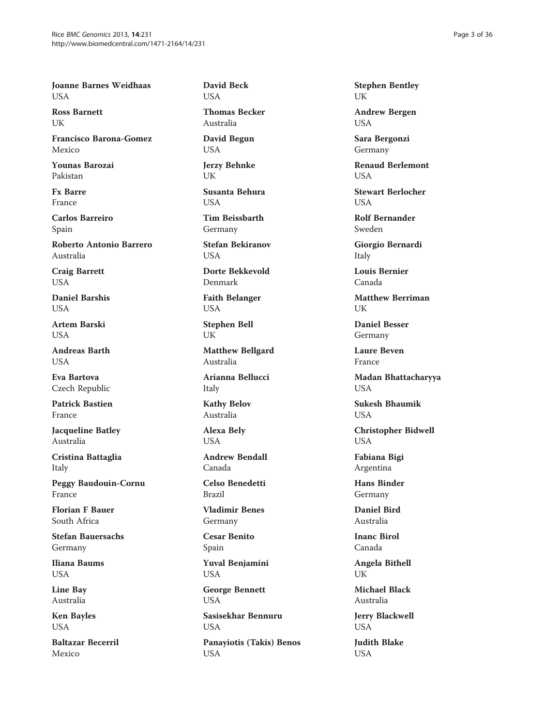Joanne Barnes Weidhaas USA

Ross Barnett **I** IK

Francisco Barona-Gomez Mexico

Younas Barozai Pakistan

Fx Barre France

Carlos Barreiro Spain

Roberto Antonio Barrero Australia

Craig Barrett USA

Daniel Barshis **USA** 

Artem Barski **USA** 

Andreas Barth **USA** 

Eva Bartova Czech Republic

Patrick Bastien France

Jacqueline Batley Australia

Cristina Battaglia Italy

Peggy Baudouin-Cornu France

Florian F Bauer South Africa

Stefan Bauersachs Germany

Iliana Baums USA

Line Bay Australia

Ken Bayles USA

Baltazar Becerril Mexico

David Beck USA

Thomas Becker Australia

David Begun USA

Jerzy Behnke UK

Susanta Behura **USA** 

Tim Beissbarth Germany

Stefan Bekiranov **I** IS A

Dorte Bekkevold Denmark

Faith Belanger USA

Stephen Bell UK

Matthew Bellgard Australia

Arianna Bellucci Italy

Kathy Belov Australia

Alexa Bely **USA** 

Andrew Bendall Canada

Celso Benedetti Brazil

Vladimir Benes Germany

Cesar Benito Spain

Yuval Benjamini USA

George Bennett USA

Sasisekhar Bennuru USA

Panayiotis (Takis) Benos USA

Stephen Bentley UK

Andrew Bergen USA

Sara Bergonzi Germany

Renaud Berlemont USA

Stewart Berlocher **USA** 

Rolf Bernander Sweden

Giorgio Bernardi Italy

Louis Bernier Canada

Matthew Berriman UK

Daniel Besser Germany

Laure Beven France

Madan Bhattacharyya USA

Sukesh Bhaumik **USA** 

Christopher Bidwell USA

Fabiana Bigi Argentina

Hans Binder Germany

Daniel Bird Australia

Inanc Birol Canada

Angela Bithell UK

Michael Black Australia

Jerry Blackwell USA

Judith Blake USA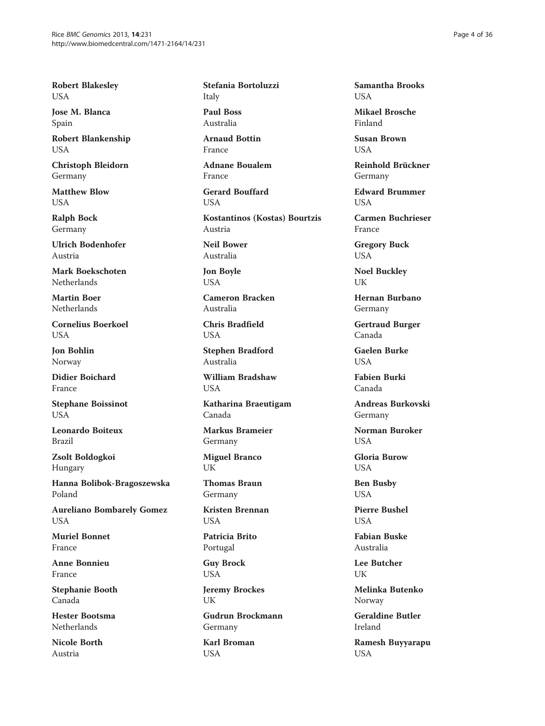Robert Blakesley USA

Jose M. Blanca Spain

Robert Blankenship USA

Christoph Bleidorn Germany

Matthew Blow **I** ISA

Ralph Bock Germany

Ulrich Bodenhofer Austria

Mark Boekschoten Netherlands

Martin Boer Netherlands

Cornelius Boerkoel **USA** 

Jon Bohlin Norway

Didier Boichard France

Stephane Boissinot **USA** 

Leonardo Boiteux Brazil

Zsolt Boldogkoi Hungary

Hanna Bolibok-Bragoszewska Poland

Aureliano Bombarely Gomez USA

Muriel Bonnet France

Anne Bonnieu France

Stephanie Booth Canada

Hester Bootsma Netherlands

Nicole Borth Austria

Stefania Bortoluzzi Italy

Paul Boss Australia

Arnaud Bottin France

Adnane Boualem France

Gerard Bouffard USA

Kostantinos (Kostas) Bourtzis Austria Neil Bower

Australia

Jon Boyle USA

Cameron Bracken Australia

Chris Bradfield USA

Stephen Bradford Australia

William Bradshaw USA

Katharina Braeutigam Canada

Markus Brameier Germany

Miguel Branco UK

Thomas Braun Germany

Kristen Brennan **USA** 

Patricia Brito Portugal

Guy Brock USA

Jeremy Brockes UK

Gudrun Brockmann Germany

Karl Broman USA

Samantha Brooks **I** IS A

Mikael Brosche Finland

Susan Brown I IS A

Reinhold Brückner Germany

Edward Brummer I IS A

Carmen Buchrieser France

Gregory Buck USA

Noel Buckley UK

Hernan Burbano Germany

Gertraud Burger Canada

Gaelen Burke **USA** 

Fabien Burki Canada

Andreas Burkovski Germany

Norman Buroker **USA** 

Gloria Burow **USA** 

Ben Busby USA

Pierre Bushel **USA** 

Fabian Buske Australia

Lee Butcher UK

Melinka Butenko Norway

Geraldine Butler Ireland

Ramesh Buyyarapu USA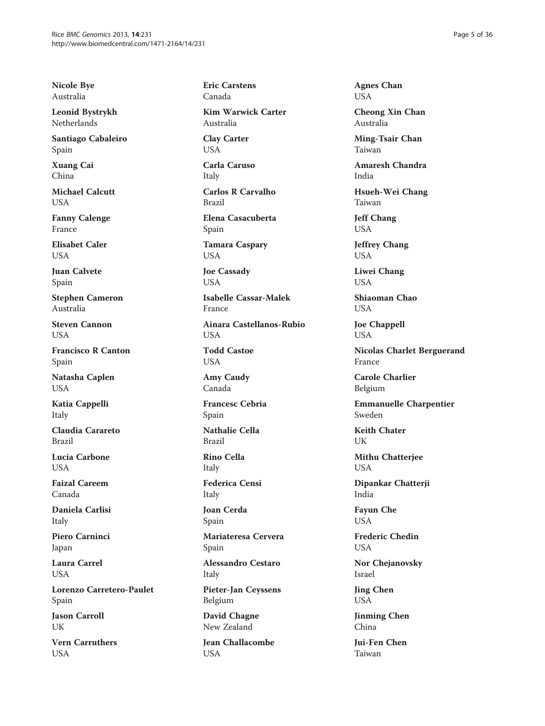Nicole Bye Australia

Leonid Bystrykh Netherlands

Santiago Cabaleiro Spain

Xuang Cai China

Michael Calcutt **I** ISA

Fanny Calenge France

Elisabet Caler **I** IS A

Juan Calvete Spain

Stephen Cameron Australia

Steven Cannon **USA** 

Francisco R Canton Spain

Natasha Caplen USA

Katia Cappelli Italy

Claudia Carareto Brazil

Lucia Carbone **USA** 

Faizal Careem Canada

Daniela Carlisi Italy

Piero Carninci Japan

Laura Carrel USA

Lorenzo Carretero-Paulet Spain

Jason Carroll UK

Vern Carruthers USA

Eric Carstens Canada

Kim Warwick Carter Australia

Clay Carter USA

Carla Caruso Italy

Carlos R Carvalho Brazil

Elena Casacuberta Spain

Tamara Caspary USA

Joe Cassady USA

Isabelle Cassar-Malek France

Ainara Castellanos-Rubio **USA** 

Todd Castoe USA

Amy Caudy Canada

Francesc Cebria Spain

Nathalie Cella Brazil

Rino Cella Italy

Federica Censi

Italy Joan Cerda

Spain

Mariateresa Cervera Spain

Alessandro Cestaro Italy

Pieter-Jan Ceyssens Belgium

David Chagne New Zealand

Jean Challacombe USA

Agnes Chan USA

Cheong Xin Chan Australia

Ming-Tsair Chan Taiwan

Amaresh Chandra India

Hsueh-Wei Chang Taiwan

Jeff Chang USA

Jeffrey Chang USA

Liwei Chang USA

Shiaoman Chao USA

Joe Chappell USA

Nicolas Charlet Berguerand France

Carole Charlier Belgium

Emmanuelle Charpentier Sweden

Keith Chater UK

Mithu Chatterjee USA

Dipankar Chatterji India

Fayun Che USA

Frederic Chedin USA

Nor Chejanovsky Israel

Jing Chen USA

Jinming Chen China

Jui-Fen Chen Taiwan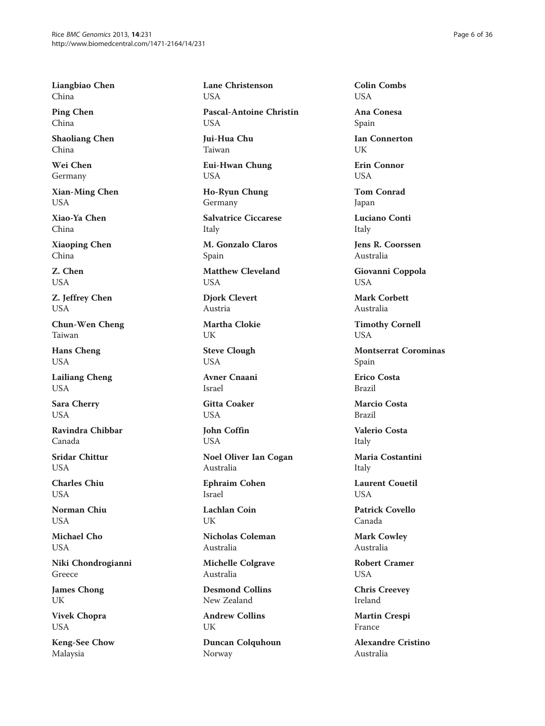Liangbiao Chen China

Ping Chen China

Shaoliang Chen China

Wei Chen Germany

Xian-Ming Chen USA

Xiao-Ya Chen China

Xiaoping Chen China

Z. Chen USA

Z. Jeffrey Chen USA

Chun-Wen Cheng Taiwan

Hans Cheng USA

Lailiang Cheng USA

Sara Cherry **USA** 

Ravindra Chibbar Canada

Sridar Chittur **USA** 

Charles Chiu USA

Norman Chiu USA

Michael Cho USA

Niki Chondrogianni Greece

James Chong UK

Vivek Chopra USA

Keng-See Chow Malaysia

Lane Christenson USA Pascal-Antoine Christin USA Jui-Hua Chu Taiwan

Eui-Hwan Chung USA

Ho-Ryun Chung Germany

Salvatrice Ciccarese Italy

M. Gonzalo Claros Spain

Matthew Cleveland USA

Djork Clevert Austria

Martha Clokie UK

Steve Clough USA

Avner Cnaani Israel

Gitta Coaker **USA** 

John Coffin USA

Noel Oliver Ian Cogan Australia

Ephraim Cohen Israel

Lachlan Coin UK

Nicholas Coleman Australia

Michelle Colgrave Australia

Desmond Collins New Zealand

Andrew Collins **IK** 

Duncan Colquhoun Norway

Colin Combs USA

Ana Conesa Spain

Ian Connerton UK

Erin Connor USA

Tom Conrad Japan

Luciano Conti Italy

Jens R. Coorssen Australia

Giovanni Coppola USA

Mark Corbett Australia

Timothy Cornell USA

Montserrat Corominas Spain

Erico Costa Brazil

Marcio Costa Brazil

Valerio Costa Italy

Maria Costantini Italy

Laurent Couetil **USA** 

Patrick Covello Canada

Mark Cowley Australia

Robert Cramer USA

Chris Creevey Ireland

Martin Crespi France

Alexandre Cristino Australia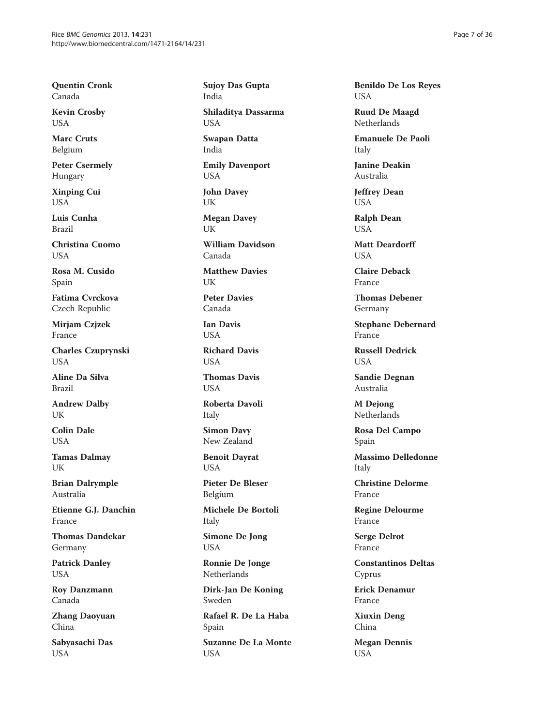Quentin Cronk Canada

Kevin Crosby USA

Marc Cruts Belgium

Peter Csermely Hungary

Xinping Cui USA

Luis Cunha Brazil

Christina Cuomo **I** IS A

Rosa M. Cusido Spain

Fatima Cvrckova Czech Republic

Mirjam Czjzek France

Charles Czuprynski **USA** 

Aline Da Silva Brazil

Andrew Dalby **UK** 

Colin Dale USA

Tamas Dalmay UK

Brian Dalrymple Australia

Etienne G.J. Danchin France

Thomas Dandekar Germany

Patrick Danley USA

Roy Danzmann Canada

Zhang Daoyuan China

Sabyasachi Das USA

Sujoy Das Gupta India Shiladitya Dassarma USA Swapan Datta India Emily Davenport USA

John Davey UK

Megan Davey UK

William Davidson Canada

Matthew Davies UK

Peter Davies Canada

Ian Davis **USA** 

Richard Davis **USA** 

Thomas Davis **USA** 

Roberta Davoli Italy

Simon Davy New Zealand

Benoit Dayrat USA

Pieter De Bleser Belgium

Michele De Bortoli Italy

Simone De Jong USA

Ronnie De Jonge Netherlands

Dirk-Jan De Koning Sweden

Rafael R. De La Haba Spain

Suzanne De La Monte USA

Benildo De Los Reyes USA

Ruud De Maagd Netherlands

Emanuele De Paoli Italy

Janine Deakin Australia

Jeffrey Dean USA

Ralph Dean USA

Matt Deardorff **I** IS A

Claire Deback France

Thomas Debener Germany

Stephane Debernard France

Russell Dedrick USA

Sandie Degnan Australia

M Dejong Netherlands

Rosa Del Campo Spain

Massimo Delledonne Italy

Christine Delorme France

Regine Delourme France

Serge Delrot France

Constantinos Deltas Cyprus

Erick Denamur France

Xiuxin Deng China

Megan Dennis USA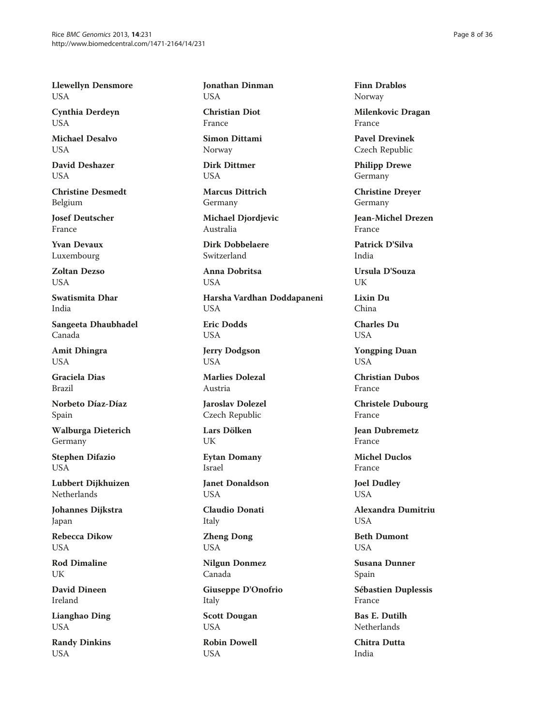Llewellyn Densmore USA

Cynthia Derdeyn USA

Michael Desalvo **USA** 

David Deshazer USA

Christine Desmedt Belgium

Josef Deutscher France

Yvan Devaux Luxembourg

Zoltan Dezso USA

Swatismita Dhar India

Sangeeta Dhaubhadel Canada

Amit Dhingra **USA** 

Graciela Dias Brazil

Norbeto Díaz-Díaz Spain

Walburga Dieterich Germany

Stephen Difazio **USA** 

Lubbert Dijkhuizen Netherlands

Johannes Dijkstra Japan

Rebecca Dikow USA

Rod Dimaline UK

David Dineen Ireland

Lianghao Ding USA

Randy Dinkins USA

Jonathan Dinman USA

Christian Diot France

Simon Dittami Norway

Dirk Dittmer USA

Marcus Dittrich Germany

Michael Djordjevic Australia

Dirk Dobbelaere Switzerland

Anna Dobritsa USA

Harsha Vardhan Doddapaneni USA

Eric Dodds USA

Jerry Dodgson USA

Marlies Dolezal Austria

Jaroslav Dolezel Czech Republic

Lars Dölken UK

Eytan Domany Israel

Janet Donaldson USA

Claudio Donati Italy

Zheng Dong USA

Nilgun Donmez Canada

Giuseppe D'Onofrio Italy Scott Dougan USA

Robin Dowell USA

Finn Drabløs Norway

Milenkovic Dragan France

Pavel Drevinek Czech Republic

Philipp Drewe Germany

Christine Dreyer Germany

Jean-Michel Drezen France

Patrick D'Silva India

Ursula D'Souza UK

Lixin Du China

Charles Du **USA** 

Yongping Duan **USA** 

Christian Dubos France

Christele Dubourg France

Jean Dubremetz France

Michel Duclos France

Joel Dudley USA

Alexandra Dumitriu **USA** 

Beth Dumont USA

Susana Dunner Spain

Sébastien Duplessis France

Bas E. Dutilh Netherlands

Chitra Dutta India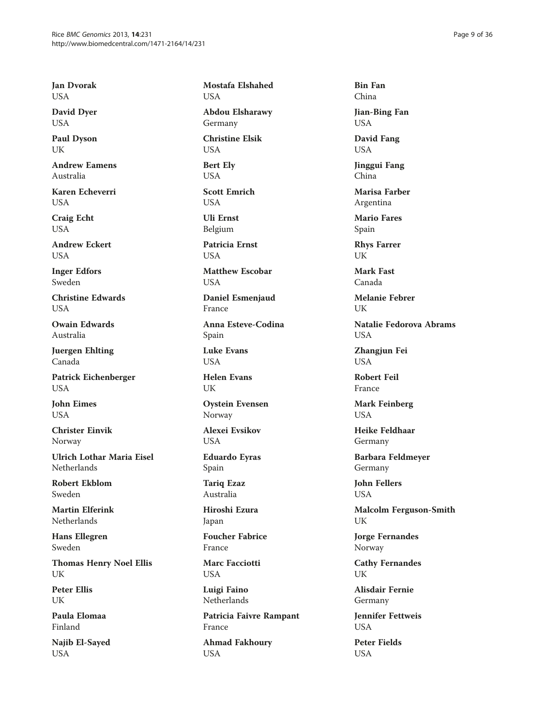Jan Dvorak USA

David Dyer USA

Paul Dyson **I** IK

Andrew Eamens Australia

Karen Echeverri USA

Craig Echt USA

Andrew Eckert **I** IS A

Inger Edfors Sweden

Christine Edwards **USA** 

Owain Edwards Australia

Juergen Ehlting Canada

Patrick Eichenberger USA

John Eimes **USA** 

Christer Einvik Norway

Ulrich Lothar Maria Eisel **Netherlands** 

Robert Ekblom Sweden

Martin Elferink Netherlands

Hans Ellegren Sweden

Thomas Henry Noel Ellis UK

Peter Ellis UK

Paula Elomaa Finland

Najib El-Sayed USA

Mostafa Elshahed USA

Abdou Elsharawy Germany

Christine Elsik USA

Bert Ely USA

Scott Emrich **USA** 

Uli Ernst Belgium

Patricia Ernst **I** IS A

Matthew Escobar USA

Daniel Esmenjaud France

Anna Esteve-Codina Spain

Luke Evans **USA** 

Helen Evans UK

Oystein Evensen Norway

Alexei Evsikov USA

Eduardo Eyras Spain

Tariq Ezaz Australia

Hiroshi Ezura Japan

Foucher Fabrice France

Marc Facciotti USA

Luigi Faino Netherlands

Patricia Faivre Rampant France

Ahmad Fakhoury USA

Bin Fan China

Jian-Bing Fan USA

David Fang USA

Jinggui Fang China

Marisa Farber Argentina

Mario Fares Spain

Rhys Farrer UK

Mark Fast Canada

Melanie Febrer UK

Natalie Fedorova Abrams **USA** 

Zhangjun Fei **USA** 

Robert Feil France

Mark Feinberg **USA** 

Heike Feldhaar Germany

Barbara Feldmeyer Germany

John Fellers USA

Malcolm Ferguson-Smith UK

Jorge Fernandes Norway

Cathy Fernandes UK

Alisdair Fernie Germany

Jennifer Fettweis **USA** 

Peter Fields USA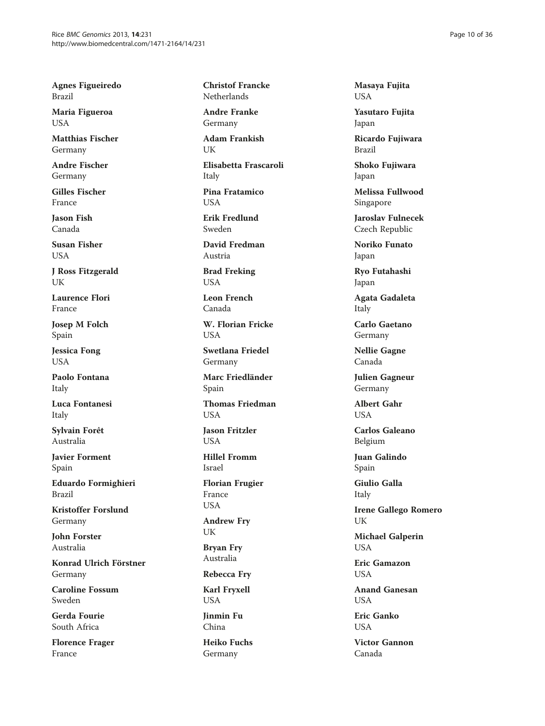Agnes Figueiredo Brazil

Maria Figueroa USA

Matthias Fischer Germany

Andre Fischer Germany

Gilles Fischer France

Jason Fish Canada

Susan Fisher **USA** 

J Ross Fitzgerald UK

Laurence Flori France

Josep M Folch Spain

Jessica Fong USA

Paolo Fontana Italy

Luca Fontanesi Italy

Sylvain Forêt Australia

Javier Forment Spain

Eduardo Formighieri Brazil

Kristoffer Forslund Germany

John Forster Australia

Konrad Ulrich Förstner Germany

Caroline Fossum Sweden

Gerda Fourie South Africa

Florence Frager France

Christof Francke Netherlands

Andre Franke Germany

Adam Frankish  $I$   $K$ 

Elisabetta Frascaroli Italy Pina Fratamico

**USA** 

Erik Fredlund Sweden

David Fredman Austria

Brad Freking USA

Leon French Canada

W. Florian Fricke **USA** 

Swetlana Friedel Germany

Marc Friedländer Spain

Thomas Friedman **USA** 

Jason Fritzler **USA** 

Hillel Fromm Israel

Florian Frugier France USA

Andrew Fry UK

Bryan Fry Australia

Rebecca Fry

Karl Fryxell USA

Jinmin Fu China

Heiko Fuchs Germany

Masaya Fujita USA

Yasutaro Fujita Japan

Ricardo Fujiwara Brazil

Shoko Fujiwara Japan

Melissa Fullwood Singapore

Jaroslav Fulnecek Czech Republic

Noriko Funato Japan

Ryo Futahashi Japan

Agata Gadaleta Italy

Carlo Gaetano Germany

Nellie Gagne Canada

Julien Gagneur Germany

Albert Gahr **USA** 

Carlos Galeano Belgium

Juan Galindo Spain

Giulio Galla Italy

Irene Gallego Romero UK

Michael Galperin USA

Eric Gamazon USA

Anand Ganesan **USA** 

Eric Ganko **USA** 

Victor Gannon Canada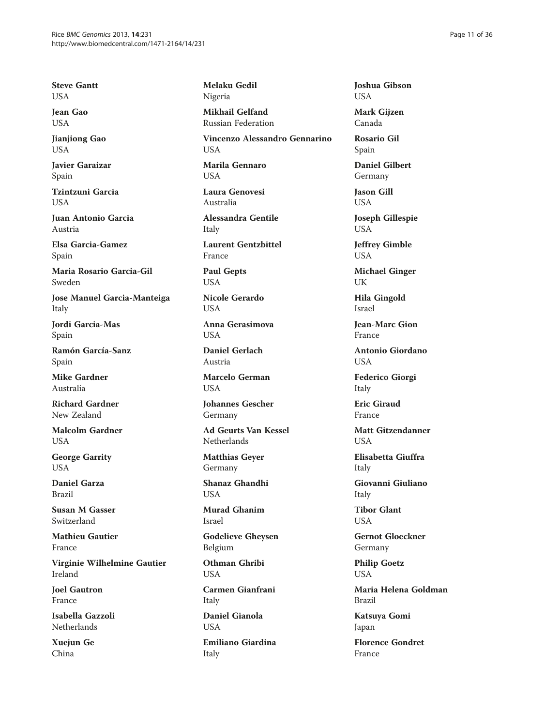Steve Gantt USA

Jean Gao USA

Jianjiong Gao **I** ISA

Javier Garaizar Spain

Tzintzuni Garcia **I** ISA

Juan Antonio Garcia Austria

Elsa Garcia-Gamez Spain

Maria Rosario Garcia-Gil Sweden

Jose Manuel Garcia-Manteiga Italy

Jordi Garcia-Mas Spain

Ramón García-Sanz Spain

Mike Gardner Australia

Richard Gardner New Zealand

Malcolm Gardner USA

George Garrity USA

Daniel Garza Brazil

Susan M Gasser Switzerland

Mathieu Gautier France

Virginie Wilhelmine Gautier Ireland

Joel Gautron France

Isabella Gazzoli Netherlands

Xuejun Ge China

Melaku Gedil Nigeria

Mikhail Gelfand Russian Federation

Vincenzo Alessandro Gennarino **USA** 

Marila Gennaro USA

Laura Genovesi Australia

Alessandra Gentile Italy

Laurent Gentzbittel France

Paul Gepts USA

Nicole Gerardo USA

Anna Gerasimova **USA** 

Daniel Gerlach Austria

Marcelo German **USA** 

Johannes Gescher Germany

Ad Geurts Van Kessel Netherlands

Matthias Geyer Germany

Shanaz Ghandhi **I** IS A

Murad Ghanim Israel

Godelieve Gheysen Belgium

Othman Ghribi USA

Carmen Gianfrani Italy Daniel Gianola

**USA** 

Emiliano Giardina Italy

Joshua Gibson USA

Mark Gijzen Canada

Rosario Gil Spain

Daniel Gilbert Germany

Jason Gill USA

Joseph Gillespie USA

Jeffrey Gimble USA

Michael Ginger UK

Hila Gingold Israel

Jean-Marc Gion France

Antonio Giordano USA

Federico Giorgi Italy

Eric Giraud France

Matt Gitzendanner **USA** 

Elisabetta Giuffra Italy

Giovanni Giuliano Italy

Tibor Glant **USA** 

Gernot Gloeckner Germany

Philip Goetz USA

Maria Helena Goldman Brazil

Katsuya Gomi Japan

Florence Gondret France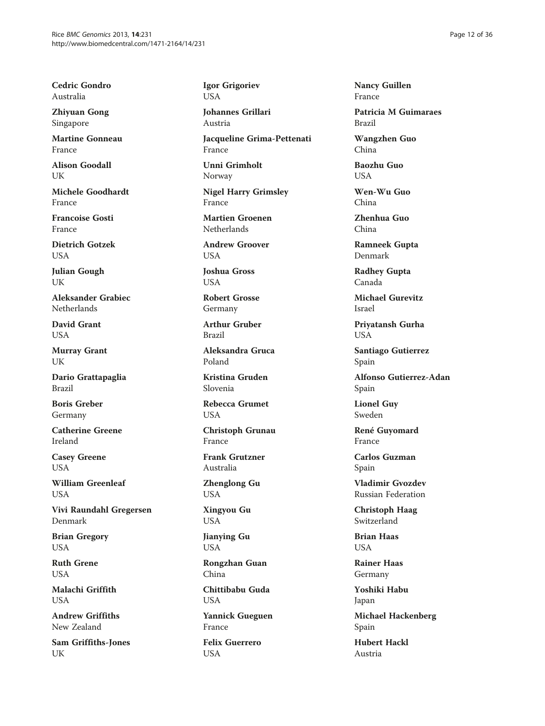Cedric Gondro Australia

Zhiyuan Gong Singapore

Martine Gonneau France

Alison Goodall UK

Michele Goodhardt France

Francoise Gosti France

Dietrich Gotzek **I** IS A

Julian Gough UK

Aleksander Grabiec Netherlands

David Grant USA

Murray Grant UK

Dario Grattapaglia Brazil

Boris Greber Germany

Catherine Greene Ireland

Casey Greene **USA** 

William Greenleaf USA

Vivi Raundahl Gregersen Denmark

Brian Gregory USA

Ruth Grene USA

Malachi Griffith USA

Andrew Griffiths New Zealand

Sam Griffiths-Jones UK

Igor Grigoriev USA

Johannes Grillari Austria

Jacqueline Grima-Pettenati France

Unni Grimholt Norway

Nigel Harry Grimsley France

Martien Groenen Netherlands

Andrew Groover **USA** 

Joshua Gross USA

Robert Grosse Germany

Arthur Gruber Brazil

Aleksandra Gruca Poland

Kristina Gruden Slovenia

Rebecca Grumet **USA** 

Christoph Grunau France

Frank Grutzner Australia

Zhenglong Gu USA

Xingyou Gu USA

Jianying Gu USA

Rongzhan Guan China

Chittibabu Guda USA

Yannick Gueguen France

Felix Guerrero USA

Nancy Guillen France

Patricia M Guimaraes Brazil

Wangzhen Guo China

Baozhu Guo USA

Wen-Wu Guo China

Zhenhua Guo China

Ramneek Gupta Denmark

Radhey Gupta Canada

Michael Gurevitz Israel

Priyatansh Gurha USA

Santiago Gutierrez Spain

Alfonso Gutierrez-Adan Spain

Lionel Guy Sweden

René Guyomard France

Carlos Guzman Spain

Vladimir Gvozdev Russian Federation

Christoph Haag Switzerland

Brian Haas USA

Rainer Haas Germany

Yoshiki Habu Japan

Michael Hackenberg Spain

Hubert Hackl Austria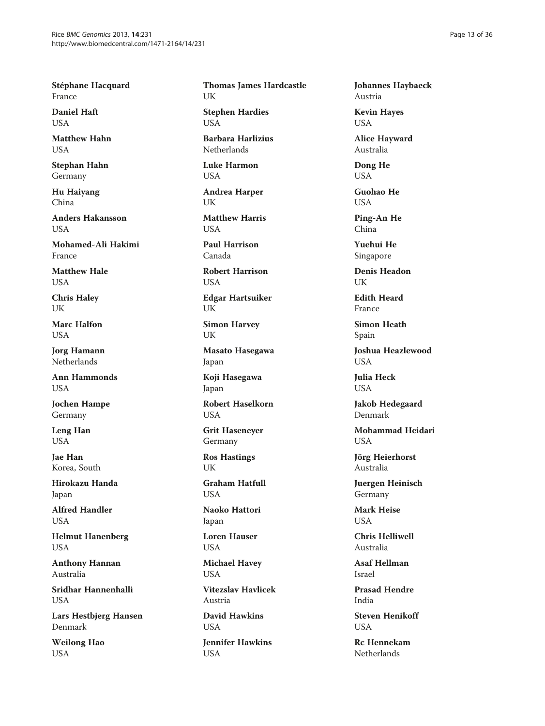Stéphane Hacquard France

Daniel Haft USA

Matthew Hahn **USA** 

Stephan Hahn Germany

Hu Haiyang China

Anders Hakansson USA

Mohamed-Ali Hakimi France

Matthew Hale USA

Chris Haley UK

Marc Halfon **USA** 

Jorg Hamann **Netherlands** 

Ann Hammonds **USA** 

Jochen Hampe Germany

Leng Han **USA** 

Jae Han Korea, South

Hirokazu Handa Japan

Alfred Handler USA

Helmut Hanenberg USA

Anthony Hannan Australia

Sridhar Hannenhalli USA

Lars Hestbjerg Hansen Denmark

Weilong Hao USA

Thomas James Hardcastle UK

Stephen Hardies USA

Barbara Harlizius Netherlands

Luke Harmon USA

Andrea Harper UK

Matthew Harris **USA** 

Paul Harrison Canada

Robert Harrison USA

Edgar Hartsuiker UK

Simon Harvey UK

Masato Hasegawa Japan

Koji Hasegawa Japan

Robert Haselkorn **USA** 

Grit Haseneyer Germany

Ros Hastings UK

Graham Hatfull **USA** 

Naoko Hattori Japan

Loren Hauser USA

Michael Havey USA

Vitezslav Havlicek Austria

David Hawkins USA

Jennifer Hawkins USA

Johannes Haybaeck Austria

Kevin Hayes USA

Alice Hayward Australia

Dong He USA

Guohao He **I** ISA

Ping-An He China

Yuehui He Singapore

Denis Headon UK

Edith Heard France

Simon Heath Spain

Joshua Heazlewood **USA** 

Julia Heck **USA** 

Jakob Hedegaard Denmark

Mohammad Heidari USA

Jörg Heierhorst Australia

Juergen Heinisch Germany

Mark Heise **USA** 

Chris Helliwell Australia

Asaf Hellman Israel

Prasad Hendre India

Steven Henikoff **USA** 

Rc Hennekam Netherlands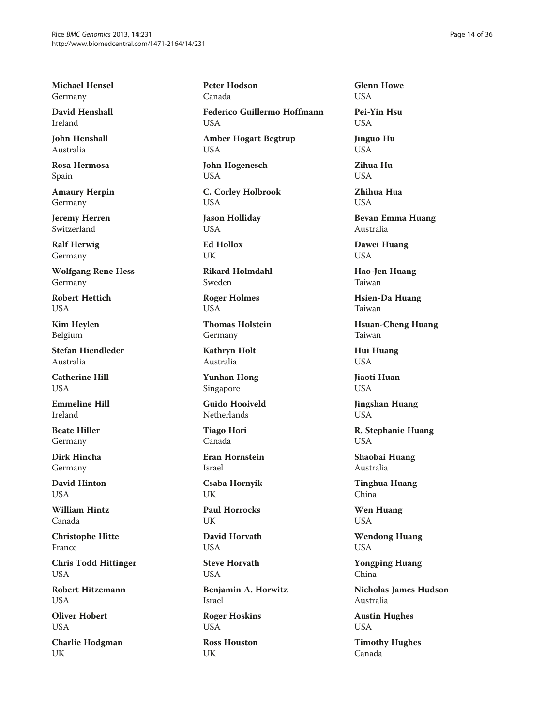Michael Hensel Germany

David Henshall Ireland

John Henshall Australia

Rosa Hermosa Spain

Amaury Herpin Germany

Jeremy Herren Switzerland

Ralf Herwig Germany

Wolfgang Rene Hess Germany

Robert Hettich USA

Kim Heylen Belgium

Stefan Hiendleder Australia

Catherine Hill **USA** 

Emmeline Hill Ireland

Beate Hiller Germany

Dirk Hincha Germany

David Hinton USA

William Hintz Canada

Christophe Hitte France

Chris Todd Hittinger USA

Robert Hitzemann USA

Oliver Hobert USA

Charlie Hodgman UK

Peter Hodson Canada Federico Guillermo Hoffmann USA Amber Hogart Begtrup USA John Hogenesch USA C. Corley Holbrook USA Jason Holliday USA Ed Hollox I IK Rikard Holmdahl Sweden Roger Holmes USA Thomas Holstein Germany Kathryn Holt Australia Yunhan Hong Singapore Guido Hooiveld Netherlands Tiago Hori Canada Eran Hornstein Israel Csaba Hornyik UK Paul Horrocks I IK David Horvath USA Steve Horvath USA Benjamin A. Horwitz

Israel

Roger Hoskins USA

Ross Houston UK

Glenn Howe USA Pei-Yin Hsu

USA

Jinguo Hu **USA** 

Zihua Hu USA

Zhihua Hua USA

Bevan Emma Huang Australia

Dawei Huang USA

Hao-Jen Huang Taiwan

Hsien-Da Huang Taiwan

Hsuan-Cheng Huang Taiwan

Hui Huang USA

Jiaoti Huan **USA** 

Jingshan Huang USA

R. Stephanie Huang USA

Shaobai Huang Australia

Tinghua Huang China

Wen Huang USA

Wendong Huang USA

Yongping Huang China

Nicholas James Hudson Australia

Austin Hughes USA

Timothy Hughes Canada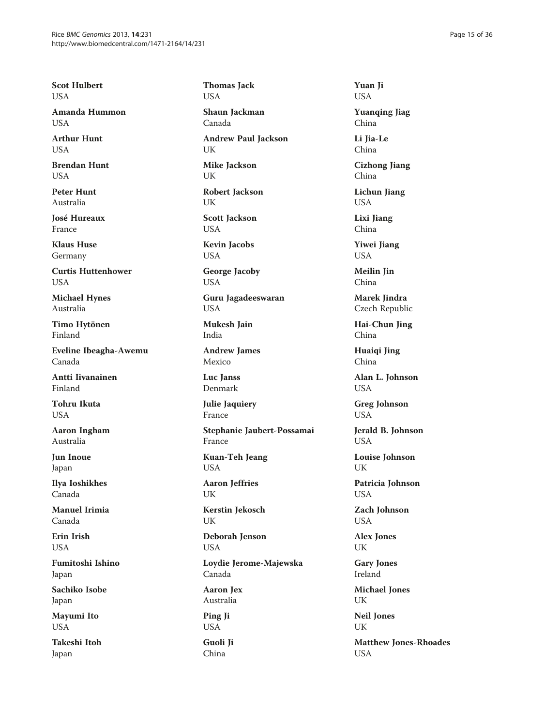Scot Hulbert USA

Amanda Hummon **I** ISA

Arthur Hunt **USA** 

Brendan Hunt USA

Peter Hunt Australia

José Hureaux France

Klaus Huse Germany

Curtis Huttenhower USA

Michael Hynes Australia

Timo Hytönen Finland

Eveline Ibeagha-Awemu Canada

Antti Iivanainen Finland

Tohru Ikuta **USA** 

Aaron Ingham Australia

Jun Inoue Japan

Ilya Ioshikhes Canada

Manuel Irimia Canada

Erin Irish USA

Fumitoshi Ishino Japan

Sachiko Isobe Japan

Mayumi Ito USA

Takeshi Itoh Japan

USA Shaun Jackman Canada Andrew Paul Jackson UK Mike Jackson UK Robert Jackson UK Scott Jackson USA

Thomas Jack

Kevin Jacobs USA

George Jacoby USA

Guru Jagadeeswaran USA

Mukesh Jain India

Andrew James Mexico

Luc Janss Denmark

Julie Jaquiery France

Stephanie Jaubert-Possamai France

Kuan-Teh Jeang USA

Aaron Jeffries UK

Kerstin Jekosch UK

Deborah Jenson

USA

Loydie Jerome-Majewska Canada

Aaron Jex Australia

Ping Ji USA

Guoli Ji China

Yuan Ji USA

Yuanqing Jiag China

Li Jia-Le China

Cizhong Jiang China

Lichun Jiang USA

Lixi Jiang China

Yiwei Jiang USA

Meilin Jin China

Marek Jindra Czech Republic

Hai-Chun Jing China

Huaiqi Jing China

Alan L. Johnson USA

Greg Johnson USA

Jerald B. Johnson USA

Louise Johnson UK

Patricia Johnson USA

Zach Johnson USA

Alex Jones UK

Gary Jones Ireland

Michael Jones UK

Neil Jones UK

Matthew Jones-Rhoades USA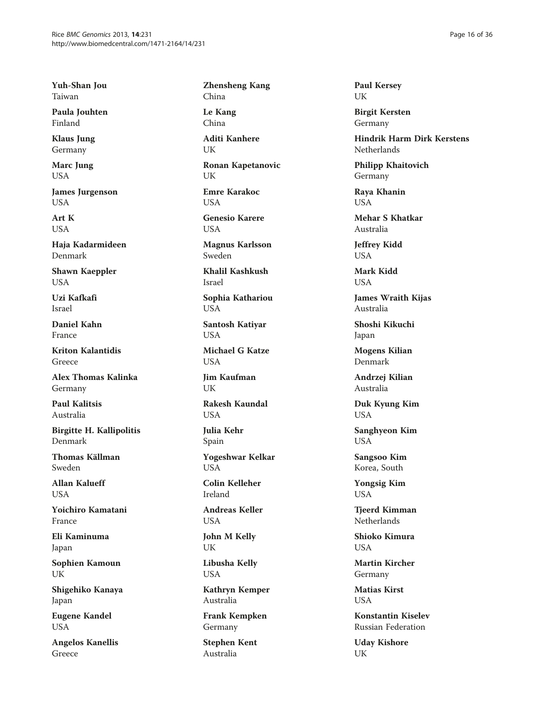Yuh-Shan Jou Taiwan

Paula Jouhten Finland

Klaus Jung Germany

Marc Jung USA

James Jurgenson USA

Art K USA

Haja Kadarmideen Denmark

Shawn Kaeppler USA

Uzi Kafkafi Israel

Daniel Kahn France

Kriton Kalantidis Greece

Alex Thomas Kalinka Germany

Paul Kalitsis Australia

Birgitte H. Kallipolitis Denmark

Thomas Källman Sweden

Allan Kalueff USA

Yoichiro Kamatani France

Eli Kaminuma Japan

Sophien Kamoun UK

Shigehiko Kanaya Japan

Eugene Kandel USA

Angelos Kanellis Greece

Zhensheng Kang China

Le Kang China

Aditi Kanhere UK

Ronan Kapetanovic UK

Emre Karakoc **USA** 

Genesio Karere USA

Magnus Karlsson Sweden

Khalil Kashkush Israel

Sophia Kathariou USA

Santosh Katiyar USA

Michael G Katze **USA** 

Jim Kaufman UK

Rakesh Kaundal **USA** 

Julia Kehr Spain

Yogeshwar Kelkar **USA** 

Colin Kelleher Ireland

Andreas Keller USA

John M Kelly UK

Libusha Kelly USA

Kathryn Kemper Australia

Frank Kempken Germany

Stephen Kent Australia

Paul Kersey UK

Birgit Kersten Germany

Hindrik Harm Dirk Kerstens Netherlands

Philipp Khaitovich Germany

Raya Khanin USA

Mehar S Khatkar Australia

Jeffrey Kidd USA

Mark Kidd USA

James Wraith Kijas Australia

Shoshi Kikuchi Japan

Mogens Kilian Denmark

Andrzej Kilian Australia

Duk Kyung Kim USA

Sanghyeon Kim USA

Sangsoo Kim Korea, South

Yongsig Kim USA

Tjeerd Kimman Netherlands

Shioko Kimura USA

Martin Kircher Germany

Matias Kirst **USA** 

Konstantin Kiselev Russian Federation

Uday Kishore UK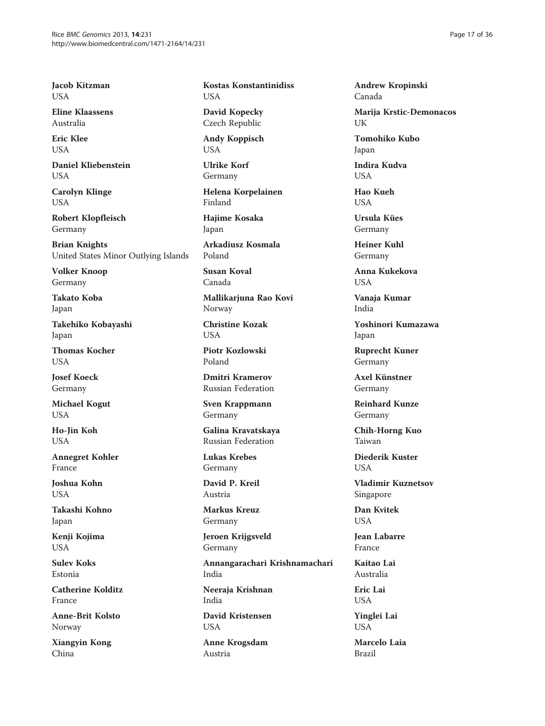Jacob Kitzman USA

Eline Klaassens Australia

Eric Klee  $I$   $I$  $S$  $\Delta$ 

Daniel Kliebenstein USA

Carolyn Klinge USA

Robert Klopfleisch Germany

Brian Knights United States Minor Outlying Islands

Volker Knoop Germany

Takato Koba Japan

Takehiko Kobayashi Japan

Thomas Kocher **USA** 

Josef Koeck Germany

Michael Kogut USA

Ho-Jin Koh USA

Annegret Kohler France

Joshua Kohn USA

Takashi Kohno Japan

Kenji Kojima USA

Sulev Koks Estonia

Catherine Kolditz France

Anne-Brit Kolsto Norway

Xiangyin Kong China

Kostas Konstantinidiss USA

David Kopecky Czech Republic

Andy Koppisch **USA** 

Ulrike Korf Germany

Helena Korpelainen Finland

Hajime Kosaka Japan

Arkadiusz Kosmala Poland

Susan Koval Canada

Mallikarjuna Rao Kovi Norway

Christine Kozak **USA** 

Piotr Kozlowski Poland

Dmitri Kramerov Russian Federation

Sven Krappmann Germany

Galina Kravatskaya Russian Federation

Lukas Krebes Germany

David P. Kreil Austria

Markus Kreuz Germany

Jeroen Krijgsveld Germany

Annangarachari Krishnamachari India Neeraja Krishnan India

David Kristensen USA

Anne Krogsdam Austria

Andrew Kropinski Canada

Marija Krstic-Demonacos UK

Tomohiko Kubo Japan

Indira Kudva USA

Hao Kueh **USA** 

Ursula Kües Germany

Heiner Kuhl Germany

Anna Kukekova USA

Vanaja Kumar India

Yoshinori Kumazawa Japan

Ruprecht Kuner Germany

Axel Künstner Germany

Reinhard Kunze Germany

Chih-Horng Kuo Taiwan

Diederik Kuster **USA** 

Vladimir Kuznetsov Singapore

Dan Kvitek USA

Jean Labarre France

Kaitao Lai Australia

Eric Lai USA

Yinglei Lai USA

Marcelo Laia Brazil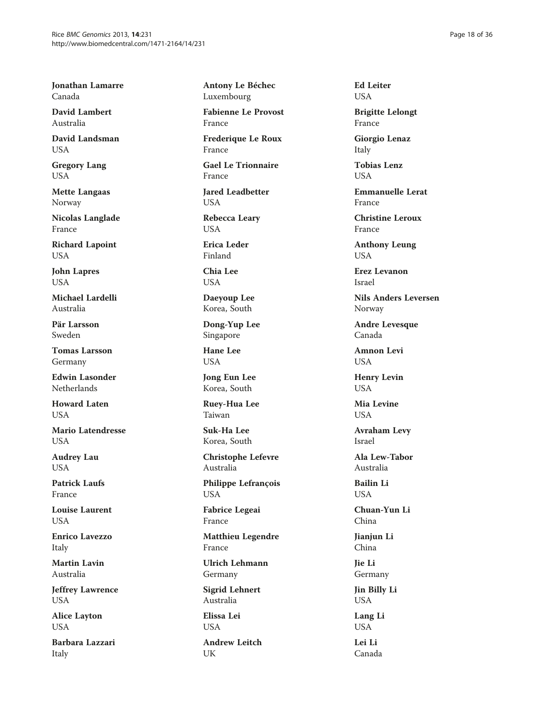Jonathan Lamarre Canada

David Lambert Australia

David Landsman **USA** 

Gregory Lang USA

Mette Langaas Norway

Nicolas Langlade France

Richard Lapoint USA

John Lapres USA

Michael Lardelli Australia

Pär Larsson Sweden

Tomas Larsson Germany

Edwin Lasonder **Netherlands** 

Howard Laten **USA** 

Mario Latendresse USA

Audrey Lau **USA** 

Patrick Laufs France

Louise Laurent **USA** 

Enrico Lavezzo Italy

Martin Lavin Australia

Jeffrey Lawrence USA

Alice Layton USA

Barbara Lazzari Italy

Antony Le Béchec Luxembourg

Fabienne Le Provost France

Frederique Le Roux France

Gael Le Trionnaire France

Jared Leadbetter USA

Rebecca Leary USA

Erica Leder Finland

Chia Lee USA

Daeyoup Lee Korea, South

Dong-Yup Lee Singapore

Hane Lee USA

Jong Eun Lee Korea, South

Ruey-Hua Lee Taiwan

Suk-Ha Lee Korea, South

Christophe Lefevre Australia

Philippe Lefrançois USA

Fabrice Legeai France

Matthieu Legendre France

Ulrich Lehmann Germany

Sigrid Lehnert Australia

Elissa Lei **USA** 

Andrew Leitch UK

Ed Leiter USA

Brigitte Lelongt France

Giorgio Lenaz Italy

Tobias Lenz USA

Emmanuelle Lerat France

Christine Leroux France

Anthony Leung USA

Erez Levanon Israel

Nils Anders Leversen Norway

Andre Levesque Canada

Amnon Levi USA

Henry Levin USA

Mia Levine **USA** 

Avraham Levy Israel

Ala Lew-Tabor Australia

Bailin Li USA

Chuan-Yun Li China

Jianjun Li China

Jie Li Germany

Jin Billy Li USA

Lang Li USA

Lei Li Canada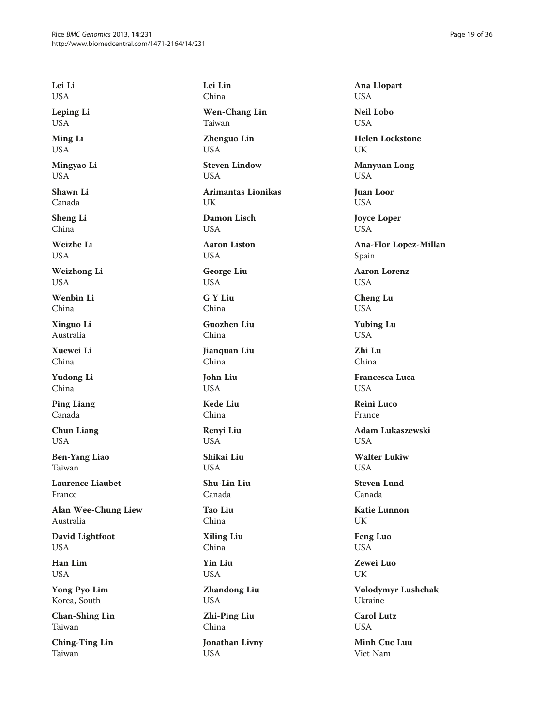Lei Li USA

Leping Li USA

Ming Li USA

Mingyao Li USA

Shawn Li Canada

Sheng Li China

Weizhe Li **USA** 

Weizhong Li USA

Wenbin Li China

Xinguo Li Australia

Xuewei Li China

Yudong Li China

Ping Liang Canada

Chun Liang USA

Ben-Yang Liao Taiwan

Laurence Liaubet France

Alan Wee-Chung Liew Australia

David Lightfoot USA

Han Lim USA

Yong Pyo Lim Korea, South

Chan-Shing Lin Taiwan

Ching-Ting Lin Taiwan

Lei Lin China Wen-Chang Lin Taiwan Zhenguo Lin USA Steven Lindow USA Arimantas Lionikas **IK** Damon Lisch USA Aaron Liston **USA** George Liu USA G Y Liu China Guozhen Liu China Jianquan Liu China John Liu USA Kede Liu China Renyi Liu USA Shikai Liu **USA** Shu-Lin Liu Canada Tao Liu China Xiling Liu China Yin Liu USA Zhandong Liu USA Zhi-Ping Liu China Jonathan Livny USA

Ana Llopart USA Neil Lobo USA Helen Lockstone UK Manyuan Long USA Juan Loor USA Joyce Loper USA Ana-Flor Lopez-Millan Spain Aaron Lorenz USA Cheng Lu USA Yubing Lu USA Zhi Lu China Francesca Luca **USA** Reini Luco France Adam Lukaszewski **USA** Walter Lukiw **USA** Steven Lund Canada Katie Lunnon UK Feng Luo USA Zewei Luo UK Volodymyr Lushchak Ukraine Carol Lutz **USA** Minh Cuc Luu Viet Nam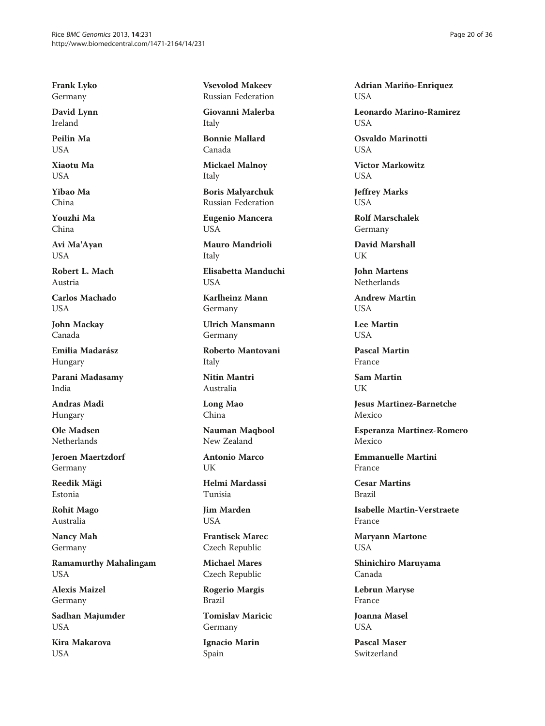Frank Lyko Germany

David Lynn Ireland

Peilin Ma  $I$   $I$  $S$  $\Delta$ 

Xiaotu Ma USA

Yibao Ma China

Youzhi Ma China

Avi Ma'Ayan USA

Robert L. Mach Austria

Carlos Machado USA

John Mackay Canada

Emilia Madarász Hungary

Parani Madasamy India

Andras Madi Hungary

Ole Madsen Netherlands

Jeroen Maertzdorf Germany

Reedik Mägi Estonia

Rohit Mago Australia

Nancy Mah Germany

Ramamurthy Mahalingam USA

Alexis Maizel Germany

Sadhan Majumder USA

Kira Makarova USA

Vsevolod Makeev Russian Federation

Giovanni Malerba Italy

Bonnie Mallard Canada

Mickael Malnoy Italy

Boris Malyarchuk Russian Federation

Eugenio Mancera USA

Mauro Mandrioli Italy

Elisabetta Manduchi **USA** 

Karlheinz Mann Germany

Ulrich Mansmann Germany

Roberto Mantovani Italy

Nitin Mantri Australia

Long Mao China

Nauman Maqbool New Zealand

Antonio Marco UK

Helmi Mardassi Tunisia

Jim Marden **USA** 

Frantisek Marec Czech Republic

Michael Mares Czech Republic

Rogerio Margis Brazil

Tomislav Maricic Germany

Ignacio Marin Spain

Adrian Mariño-Enriquez USA

Leonardo Marino-Ramirez **I** ISA

Osvaldo Marinotti I IS A

Victor Markowitz USA

Jeffrey Marks USA

Rolf Marschalek Germany

David Marshall  $I$   $IK$ 

John Martens Netherlands

Andrew Martin **USA** 

Lee Martin **USA** 

Pascal Martin France

Sam Martin UK

Jesus Martinez-Barnetche Mexico

Esperanza Martinez-Romero Mexico

Emmanuelle Martini France

Cesar Martins Brazil

Isabelle Martin-Verstraete France

Maryann Martone USA

Shinichiro Maruyama Canada

Lebrun Maryse France

Joanna Masel **USA** 

Pascal Maser Switzerland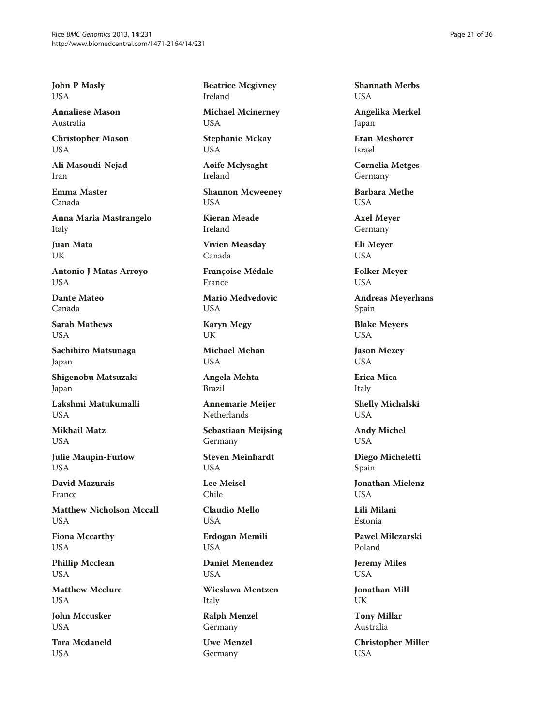John P Masly USA

Annaliese Mason Australia

Christopher Mason USA

Ali Masoudi-Nejad Iran

Emma Master Canada

Anna Maria Mastrangelo Italy

Juan Mata I IK

Antonio J Matas Arroyo USA

Dante Mateo Canada

Sarah Mathews **USA** 

Sachihiro Matsunaga Japan

Shigenobu Matsuzaki Japan

Lakshmi Matukumalli **USA** 

Mikhail Matz USA

Julie Maupin-Furlow **USA** 

David Mazurais France

Matthew Nicholson Mccall USA

Fiona Mccarthy USA

Phillip Mcclean USA

Matthew Mcclure USA

John Mccusker **USA** 

Tara Mcdaneld USA

Beatrice Mcgivney Ireland

Michael Mcinerney USA

Stephanie Mckay USA

Aoife Mclysaght Ireland

Shannon Mcweeney USA

Kieran Meade Ireland

Vivien Measday Canada

Françoise Médale France

Mario Medvedovic USA

Karyn Megy UK

Michael Mehan USA

Angela Mehta Brazil

Annemarie Meijer **Netherlands** 

Sebastiaan Meijsing Germany

Steven Meinhardt **USA** 

Lee Meisel Chile

Claudio Mello USA

Erdogan Memili USA

Daniel Menendez USA

Wieslawa Mentzen Italy

Ralph Menzel Germany

Uwe Menzel Germany

Shannath Merbs USA

Angelika Merkel Japan

Eran Meshorer Israel

Cornelia Metges Germany

Barbara Methe **I** ISA

Axel Meyer Germany

Eli Meyer USA

Folker Meyer USA

Andreas Meyerhans Spain

Blake Meyers USA

Jason Mezey USA

Erica Mica Italy Shelly Michalski USA

Andy Michel USA

Diego Micheletti Spain

Jonathan Mielenz USA

Lili Milani Estonia

Pawel Milczarski Poland

Jeremy Miles USA

Jonathan Mill UK

Tony Millar Australia

Christopher Miller USA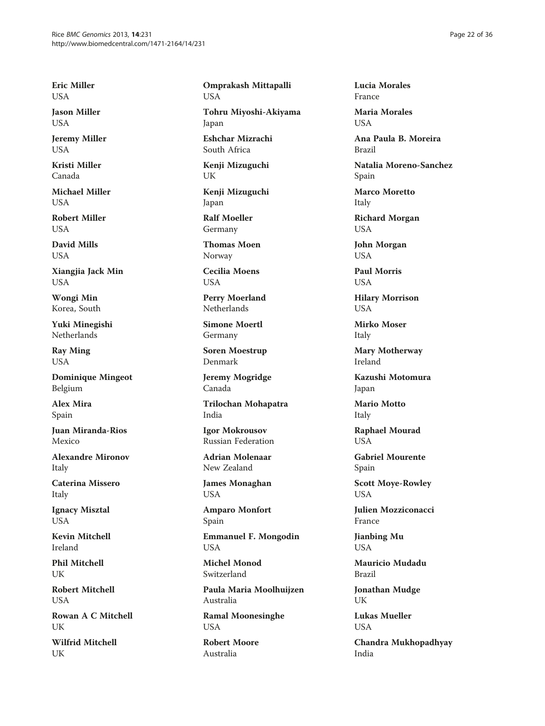Eric Miller USA

Jason Miller USA

Jeremy Miller **USA** 

Kristi Miller Canada

Michael Miller **USA** 

Robert Miller USA

David Mills **USA** 

Xiangjia Jack Min USA

Wongi Min Korea, South

Yuki Minegishi Netherlands

Ray Ming USA

Dominique Mingeot Belgium

Alex Mira Spain

Juan Miranda-Rios Mexico

Alexandre Mironov Italy

Caterina Missero Italy

Ignacy Misztal USA

Kevin Mitchell Ireland

Phil Mitchell UK

Robert Mitchell **USA** 

Rowan A C Mitchell **I** IK

Wilfrid Mitchell UK

Omprakash Mittapalli USA

Tohru Miyoshi-Akiyama Japan

Eshchar Mizrachi South Africa

Kenji Mizuguchi UK

Kenji Mizuguchi Japan

Ralf Moeller Germany

Thomas Moen Norway

Cecilia Moens USA

Perry Moerland Netherlands

Simone Moertl Germany

Soren Moestrup Denmark

Jeremy Mogridge Canada

Trilochan Mohapatra India

Igor Mokrousov Russian Federation

Adrian Molenaar New Zealand

James Monaghan USA

Amparo Monfort Spain

Emmanuel F. Mongodin USA

Michel Monod Switzerland

Paula Maria Moolhuijzen Australia

Ramal Moonesinghe USA

Robert Moore Australia

Lucia Morales France

Maria Morales **I** ISA

Ana Paula B. Moreira Brazil

Natalia Moreno-Sanchez Spain

Marco Moretto Italy

Richard Morgan USA

John Morgan USA

Paul Morris USA

Hilary Morrison USA

Mirko Moser Italy

Mary Motherway Ireland

Kazushi Motomura Japan

Mario Motto Italy

Raphael Mourad **USA** 

Gabriel Mourente Spain

Scott Moye-Rowley USA

Julien Mozziconacci France

Jianbing Mu USA

Mauricio Mudadu Brazil

Jonathan Mudge UK

Lukas Mueller USA

Chandra Mukhopadhyay India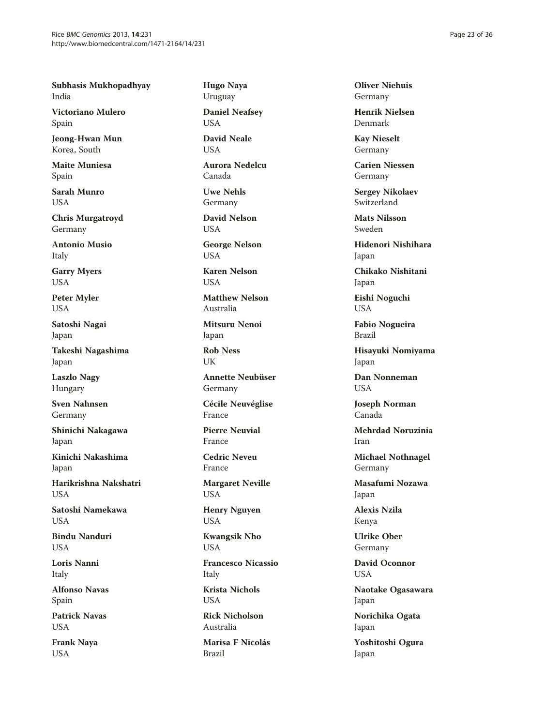Subhasis Mukhopadhyay India

Victoriano Mulero Spain

Jeong-Hwan Mun Korea, South

Maite Muniesa Spain

Sarah Munro **I** ISA

Chris Murgatroyd Germany

Antonio Musio Italy

Garry Myers USA

Peter Myler USA

Satoshi Nagai Japan

Takeshi Nagashima Japan

Laszlo Nagy Hungary

Sven Nahnsen Germany

Shinichi Nakagawa Japan

Kinichi Nakashima Japan

Harikrishna Nakshatri **USA** 

Satoshi Namekawa **USA** 

Bindu Nanduri USA

Loris Nanni Italy

Alfonso Navas Spain

Patrick Navas USA

Frank Naya USA

Hugo Naya Uruguay

Daniel Neafsey USA

David Neale **USA** 

Aurora Nedelcu Canada

Uwe Nehls Germany

David Nelson USA

George Nelson USA

Karen Nelson **USA** 

Matthew Nelson Australia

Mitsuru Nenoi Japan

Rob Ness UK

Annette Neubüser Germany

Cécile Neuvéglise France

Pierre Neuvial France

Cedric Neveu France

Margaret Neville USA

Henry Nguyen USA

Kwangsik Nho USA

Francesco Nicassio Italy

Krista Nichols **USA** 

Rick Nicholson Australia

Marisa F Nicolás Brazil

Oliver Niehuis Germany

Henrik Nielsen Denmark

Kay Nieselt Germany

Carien Niessen Germany

Sergey Nikolaev Switzerland

Mats Nilsson Sweden

Hidenori Nishihara Japan

Chikako Nishitani Japan

Eishi Noguchi USA

Fabio Nogueira Brazil

Hisayuki Nomiyama Japan

Dan Nonneman **I** ISA

Joseph Norman Canada

Mehrdad Noruzinia Iran

Michael Nothnagel Germany

Masafumi Nozawa Japan

Alexis Nzila Kenya

Ulrike Ober Germany

David Oconnor USA

Naotake Ogasawara Japan

Norichika Ogata Japan

Yoshitoshi Ogura Japan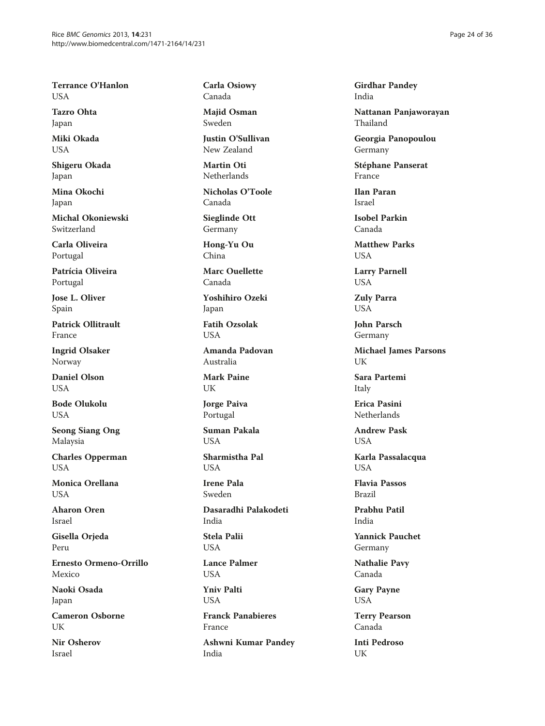Terrance O'Hanlon USA

Tazro Ohta Japan

Miki Okada USA

Shigeru Okada Japan

Mina Okochi Japan

Michal Okoniewski Switzerland

Carla Oliveira Portugal

Patrícia Oliveira Portugal

Jose L. Oliver Spain

Patrick Ollitrault France

Ingrid Olsaker Norway

Daniel Olson **USA** 

Bode Olukolu **USA** 

Seong Siang Ong Malaysia

Charles Opperman USA

Monica Orellana **USA** 

Aharon Oren Israel

Gisella Orjeda Peru

Ernesto Ormeno-Orrillo Mexico

Naoki Osada Japan

Cameron Osborne UK

Nir Osherov Israel

Carla Osiowy Canada

Majid Osman Sweden

Justin O'Sullivan New Zealand

Martin Oti Netherlands

Nicholas O'Toole Canada

Sieglinde Ott Germany

Hong-Yu Ou China

Marc Ouellette Canada

Yoshihiro Ozeki Japan

Fatih Ozsolak **USA** 

Amanda Padovan Australia

Mark Paine UK

Jorge Paiva Portugal

Suman Pakala **USA** 

Sharmistha Pal **USA** 

Irene Pala Sweden

Dasaradhi Palakodeti India

Stela Palii USA

Lance Palmer USA

Yniv Palti **USA** 

Franck Panabieres France

Ashwni Kumar Pandey India

Girdhar Pandey India

Nattanan Panjaworayan Thailand

Georgia Panopoulou Germany

Stéphane Panserat France

Ilan Paran Israel

Isobel Parkin Canada

Matthew Parks **I** IS A

Larry Parnell USA

Zuly Parra USA

John Parsch Germany

Michael James Parsons **I** IK

Sara Partemi Italy

Erica Pasini Netherlands

Andrew Pask USA

Karla Passalacqua USA

Flavia Passos Brazil

Prabhu Patil India

Yannick Pauchet Germany

Nathalie Pavy Canada

Gary Payne USA

Terry Pearson Canada

Inti Pedroso UK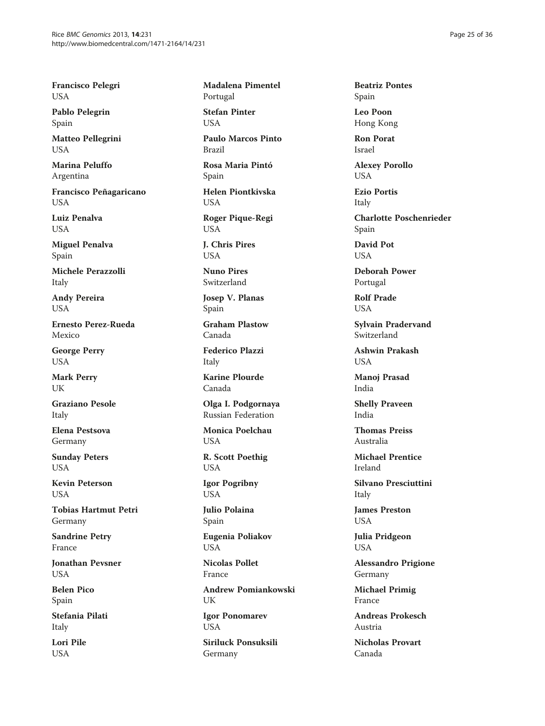Francisco Pelegri USA

Pablo Pelegrin Spain

Matteo Pellegrini **USA** 

Marina Peluffo Argentina

Francisco Peñagaricano USA

Luiz Penalva USA

Miguel Penalva Spain

Michele Perazzolli Italy

Andy Pereira USA

Ernesto Perez-Rueda Mexico

George Perry USA

Mark Perry UK

Graziano Pesole Italy

Elena Pestsova Germany

Sunday Peters **USA** 

Kevin Peterson **I** IS A

Tobias Hartmut Petri Germany

Sandrine Petry France

Jonathan Pevsner USA

Belen Pico Spain

Stefania Pilati Italy

Lori Pile USA

Madalena Pimentel Portugal Stefan Pinter

**I** ISA

Paulo Marcos Pinto Brazil

Rosa Maria Pintó Spain

Helen Piontkivska USA

Roger Pique-Regi USA

J. Chris Pires **USA** 

Nuno Pires Switzerland

Josep V. Planas Spain

Graham Plastow Canada

Federico Plazzi Italy

Karine Plourde Canada

Olga I. Podgornaya Russian Federation

Monica Poelchau USA

R. Scott Poethig USA

Igor Pogribny USA

Julio Polaina Spain

Eugenia Poliakov USA

Nicolas Pollet France

Andrew Pomiankowski UK

Igor Ponomarev USA

Siriluck Ponsuksili Germany

Beatriz Pontes Spain

Leo Poon Hong Kong

Ron Porat Israel

Alexey Porollo USA

Ezio Portis Italy

Charlotte Poschenrieder Spain

David Pot **I** IS A

Deborah Power Portugal

Rolf Prade USA

Sylvain Pradervand Switzerland

Ashwin Prakash USA

Manoj Prasad India

Shelly Praveen India

Thomas Preiss Australia

Michael Prentice Ireland

Silvano Presciuttini Italy

James Preston USA

Julia Pridgeon USA

Alessandro Prigione Germany

Michael Primig France

Andreas Prokesch Austria

Nicholas Provart Canada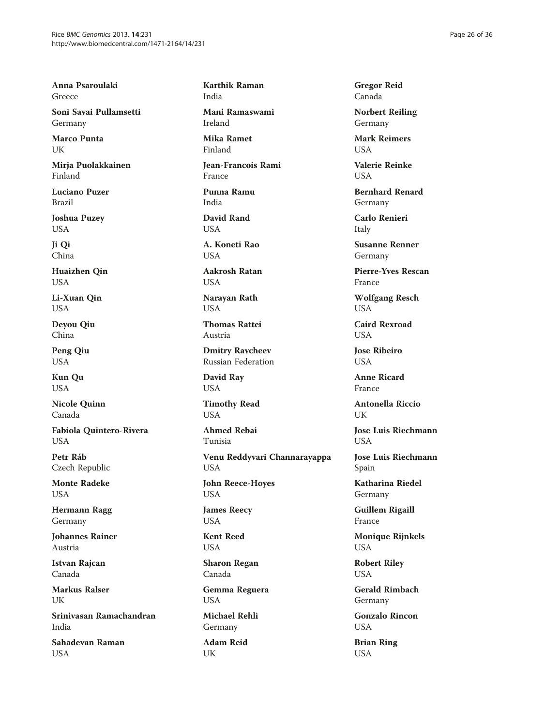Anna Psaroulaki Greece

Soni Savai Pullamsetti Germany

Marco Punta UK

Mirja Puolakkainen Finland

Luciano Puzer Brazil

Joshua Puzey USA

Ji Qi China

Huaizhen Qin USA

Li-Xuan Qin USA

Deyou Qiu China

Peng Qiu USA

Kun Qu USA

Nicole Quinn Canada

Fabiola Quintero-Rivera **USA** 

Petr Ráb Czech Republic

Monte Radeke USA

Hermann Ragg Germany

Johannes Rainer Austria

Istvan Rajcan Canada

Markus Ralser UK

Srinivasan Ramachandran India

Sahadevan Raman USA

Karthik Raman India

Mani Ramaswami Ireland

Mika Ramet Finland

Jean-Francois Rami France

Punna Ramu India

David Rand USA

A. Koneti Rao **USA** 

Aakrosh Ratan USA

Narayan Rath USA

Thomas Rattei Austria

Dmitry Ravcheev Russian Federation

David Ray USA

Timothy Read **USA** 

Ahmed Rebai Tunisia

Venu Reddyvari Channarayappa USA

John Reece-Hoyes USA

James Reecy USA

Kent Reed USA

Sharon Regan Canada

Gemma Reguera USA

Michael Rehli Germany

Adam Reid UK

Gregor Reid Canada

Norbert Reiling Germany

Mark Reimers **USA** 

Valerie Reinke USA

Bernhard Renard Germany

Carlo Renieri Italy

Susanne Renner Germany

Pierre-Yves Rescan France

Wolfgang Resch USA

Caird Rexroad **USA** 

Jose Ribeiro **USA** 

Anne Ricard France

Antonella Riccio UK

Jose Luis Riechmann **USA** 

Jose Luis Riechmann Spain

Katharina Riedel Germany

Guillem Rigaill France

Monique Rijnkels USA

Robert Riley USA

Gerald Rimbach Germany

Gonzalo Rincon USA

Brian Ring USA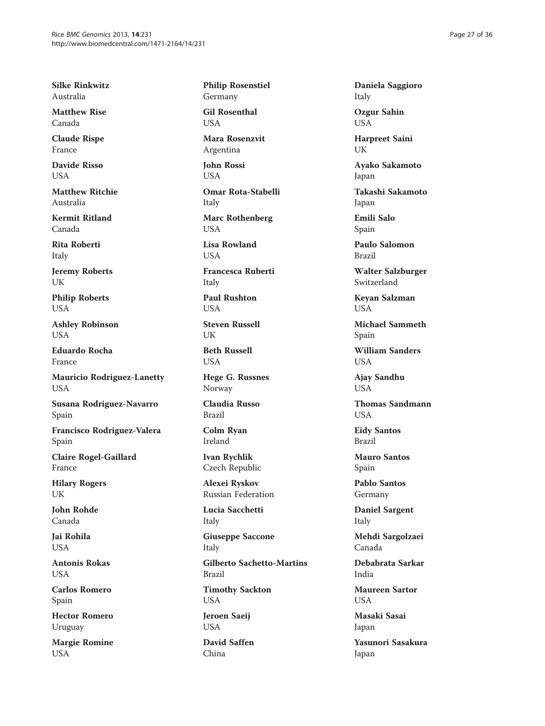Silke Rinkwitz Australia

Matthew Rise Canada

Claude Rispe France

Davide Risso USA

Matthew Ritchie Australia

Kermit Ritland Canada

Rita Roberti Italy

Jeremy Roberts UK

Philip Roberts USA

Ashley Robinson USA

Eduardo Rocha France

Mauricio Rodriguez-Lanetty USA

Susana Rodriguez-Navarro Spain

Francisco Rodriguez-Valera Spain

Claire Rogel-Gaillard France

Hilary Rogers UK

John Rohde Canada

Jai Rohila USA

Antonis Rokas USA

Carlos Romero Spain

Hector Romero Uruguay

Margie Romine USA

Philip Rosenstiel Germany Gil Rosenthal

USA

Mara Rosenzvit Argentina

John Rossi USA

Omar Rota-Stabelli Italy

Marc Rothenberg USA

Lisa Rowland **I** IS A

Francesca Ruberti Italy

Paul Rushton USA

Steven Russell UK

Beth Russell USA

Hege G. Russnes Norway

Claudia Russo Brazil

Colm Ryan Ireland

Ivan Rychlik Czech Republic

Alexei Ryskov Russian Federation

Lucia Sacchetti Italy

Giuseppe Saccone Italy

Gilberto Sachetto-Martins Brazil

Timothy Sackton USA

Jeroen Saeij USA

David Saffen China

Daniela Saggioro Italy

Ozgur Sahin USA

Harpreet Saini UK

Ayako Sakamoto Japan

Takashi Sakamoto Japan

Emili Salo Spain

Paulo Salomon Brazil

Walter Salzburger Switzerland

Keyan Salzman **USA** 

Michael Sammeth Spain

William Sanders USA

Ajay Sandhu **USA** 

Thomas Sandmann **USA** 

Eidy Santos Brazil

Mauro Santos Spain

Pablo Santos Germany

Daniel Sargent Italy

Mehdi Sargolzaei Canada

Debabrata Sarkar India

Maureen Sartor **USA** 

Masaki Sasai Japan

Yasunori Sasakura Japan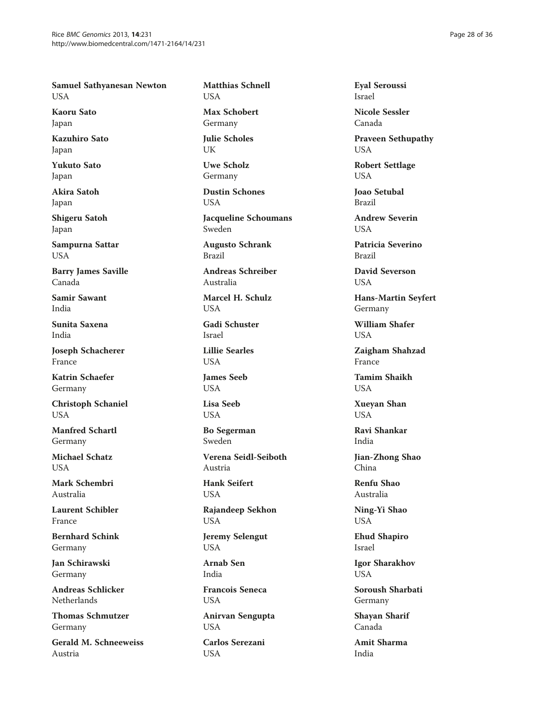Samuel Sathyanesan Newton USA

Kaoru Sato Japan

Kazuhiro Sato Japan

Yukuto Sato Japan

Akira Satoh Japan

Shigeru Satoh Japan

Sampurna Sattar USA

Barry James Saville Canada

Samir Sawant India

Sunita Saxena India

Joseph Schacherer France

Katrin Schaefer Germany

Christoph Schaniel **USA** 

Manfred Schartl Germany

Michael Schatz **USA** 

Mark Schembri Australia

Laurent Schibler France

Bernhard Schink Germany

Jan Schirawski Germany

Andreas Schlicker Netherlands

Thomas Schmutzer Germany

Gerald M. Schneeweiss Austria

Matthias Schnell USA

Max Schobert Germany

Julie Scholes UK

Uwe Scholz Germany

Dustin Schones USA

Jacqueline Schoumans Sweden

Augusto Schrank Brazil

Andreas Schreiber Australia

Marcel H. Schulz USA

Gadi Schuster Israel

Lillie Searles **USA** 

James Seeb USA

Lisa Seeb **USA** 

Bo Segerman Sweden

Verena Seidl-Seiboth Austria

Hank Seifert USA

Rajandeep Sekhon USA

Jeremy Selengut USA

Arnab Sen India

Francois Seneca USA

Anirvan Sengupta USA

Carlos Serezani USA

Eyal Seroussi Israel

Nicole Sessler Canada

Praveen Sethupathy USA

Robert Settlage USA

Joao Setubal Brazil

Andrew Severin **USA** 

Patricia Severino Brazil

David Severson USA

Hans-Martin Seyfert Germany

William Shafer **USA** 

Zaigham Shahzad France

Tamim Shaikh **USA** 

Xueyan Shan **USA** 

Ravi Shankar India

Jian-Zhong Shao China

Renfu Shao Australia

Ning-Yi Shao USA

Ehud Shapiro Israel

Igor Sharakhov USA

Soroush Sharbati Germany

Shayan Sharif Canada

Amit Sharma India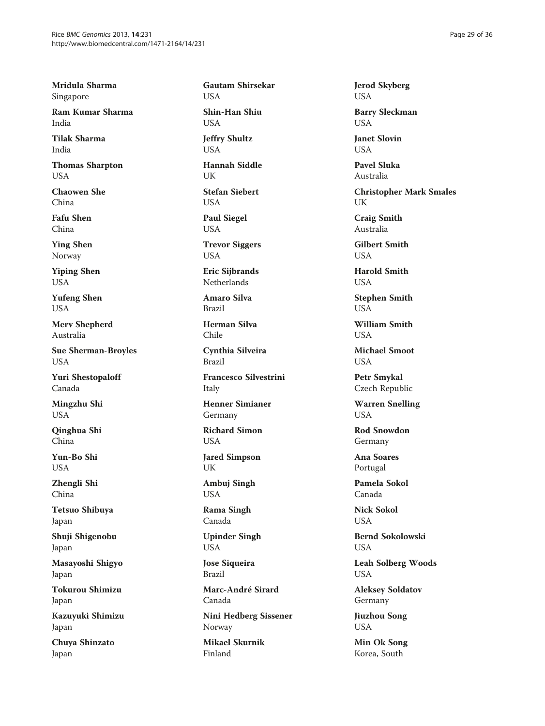Mridula Sharma Singapore

Ram Kumar Sharma India

Tilak Sharma India

Thomas Sharpton USA

Chaowen She China

Fafu Shen China

Ying Shen Norway

Yiping Shen USA

Yufeng Shen USA

Merv Shepherd Australia

Sue Sherman-Broyles USA

Yuri Shestopaloff Canada

Mingzhu Shi USA

Qinghua Shi China

Yun-Bo Shi **USA** 

Zhengli Shi China

Tetsuo Shibuya Japan

Shuji Shigenobu Japan

Masayoshi Shigyo Japan

Tokurou Shimizu Japan

Kazuyuki Shimizu Japan

Chuya Shinzato Japan

Gautam Shirsekar USA Shin-Han Shiu USA Jeffry Shultz **USA** Hannah Siddle UK Stefan Siebert USA Paul Siegel USA

Trevor Siggers USA

Eric Sijbrands Netherlands

Amaro Silva Brazil

Herman Silva Chile

Cynthia Silveira Brazil

Francesco Silvestrini Italy

Henner Simianer Germany

Richard Simon USA

Jared Simpson UK

Ambuj Singh USA

Rama Singh Canada

Upinder Singh USA

Jose Siqueira Brazil

Marc-André Sirard Canada

Nini Hedberg Sissener Norway

Mikael Skurnik Finland

Jerod Skyberg USA

Barry Sleckman USA

Janet Slovin **I** ISA

Pavel Sluka Australia

Christopher Mark Smales UK

Craig Smith Australia

Gilbert Smith **USA** 

Harold Smith USA

Stephen Smith USA

William Smith **USA** 

Michael Smoot USA

Petr Smykal Czech Republic

Warren Snelling USA

Rod Snowdon Germany

Ana Soares Portugal

Pamela Sokol Canada

Nick Sokol USA

Bernd Sokolowski USA

Leah Solberg Woods USA

Aleksey Soldatov Germany

Jiuzhou Song USA

Min Ok Song Korea, South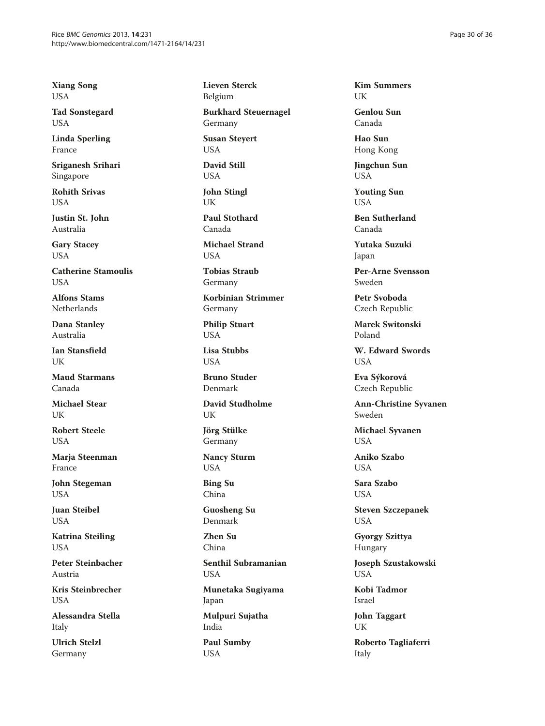Xiang Song USA

Tad Sonstegard USA

Linda Sperling France

Sriganesh Srihari Singapore

Rohith Srivas **I** ISA

Justin St. John Australia

Gary Stacey USA

Catherine Stamoulis **USA** 

Alfons Stams Netherlands

Dana Stanley Australia

Ian Stansfield UK

Maud Starmans Canada

Michael Stear I IK

Robert Steele USA

Marja Steenman France

John Stegeman USA

Juan Steibel USA

Katrina Steiling USA

Peter Steinbacher Austria

Kris Steinbrecher USA

Alessandra Stella Italy

Ulrich Stelzl Germany

Lieven Sterck Belgium

Burkhard Steuernagel Germany

Susan Steyert USA

David Still USA

John Stingl UK

Paul Stothard Canada

Michael Strand **I** IS A

Tobias Straub Germany

Korbinian Strimmer Germany

Philip Stuart USA

Lisa Stubbs **USA** 

Bruno Studer Denmark

David Studholme UK

Jörg Stülke Germany

Nancy Sturm USA

Bing Su China

Guosheng Su Denmark

Zhen Su China

Senthil Subramanian USA

Munetaka Sugiyama Japan

Mulpuri Sujatha India

Paul Sumby USA

Kim Summers **I** IK

Genlou Sun Canada

Hao Sun Hong Kong

Jingchun Sun USA

Youting Sun USA

Ben Sutherland Canada

Yutaka Suzuki Japan

Per-Arne Svensson Sweden

Petr Svoboda Czech Republic

Marek Switonski Poland

W. Edward Swords USA

Eva Sýkorová Czech Republic

Ann-Christine Syvanen Sweden

Michael Syvanen **USA** 

Aniko Szabo **USA** 

Sara Szabo USA

Steven Szczepanek USA

Gyorgy Szittya Hungary

Joseph Szustakowski USA

Kobi Tadmor Israel

John Taggart UK

Roberto Tagliaferri Italy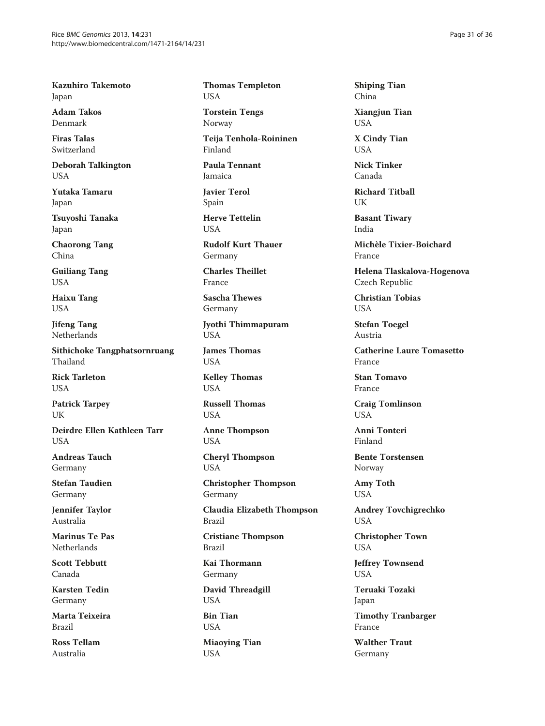Kazuhiro Takemoto Japan

Adam Takos Denmark

Firas Talas Switzerland

Deborah Talkington USA

Yutaka Tamaru Japan

Tsuyoshi Tanaka Japan

Chaorong Tang China

Guiliang Tang USA

Haixu Tang USA

Jifeng Tang Netherlands

Sithichoke Tangphatsornruang Thailand

Rick Tarleton USA

Patrick Tarpey **UK** 

Deirdre Ellen Kathleen Tarr **USA** 

Andreas Tauch Germany

Stefan Taudien Germany

Jennifer Taylor Australia

Marinus Te Pas Netherlands

Scott Tebbutt Canada

Karsten Tedin Germany

Marta Teixeira Brazil

Ross Tellam Australia

Thomas Templeton USA

Torstein Tengs Norway

Teija Tenhola-Roininen Finland

Paula Tennant Jamaica

Javier Terol Spain

Herve Tettelin **USA** 

Rudolf Kurt Thauer Germany

Charles Theillet France

Sascha Thewes Germany

Jyothi Thimmapuram USA

James Thomas USA

Kelley Thomas USA

Russell Thomas **USA** 

Anne Thompson USA

Cheryl Thompson USA

Christopher Thompson Germany

Claudia Elizabeth Thompson Brazil

Cristiane Thompson Brazil

Kai Thormann Germany

David Threadgill USA

Bin Tian USA

Miaoying Tian USA

Shiping Tian China

Xiangjun Tian USA

X Cindy Tian **USA** 

Nick Tinker Canada

Richard Titball **I**IK

Basant Tiwary India

Michèle Tixier-Boichard France

Helena Tlaskalova-Hogenova Czech Republic

Christian Tobias USA

Stefan Toegel Austria

Catherine Laure Tomasetto France

Stan Tomavo France

Craig Tomlinson **USA** 

Anni Tonteri Finland

Bente Torstensen Norway

Amy Toth USA

Andrey Tovchigrechko USA

Christopher Town USA

Jeffrey Townsend USA

Teruaki Tozaki Japan

Timothy Tranbarger France

Walther Traut Germany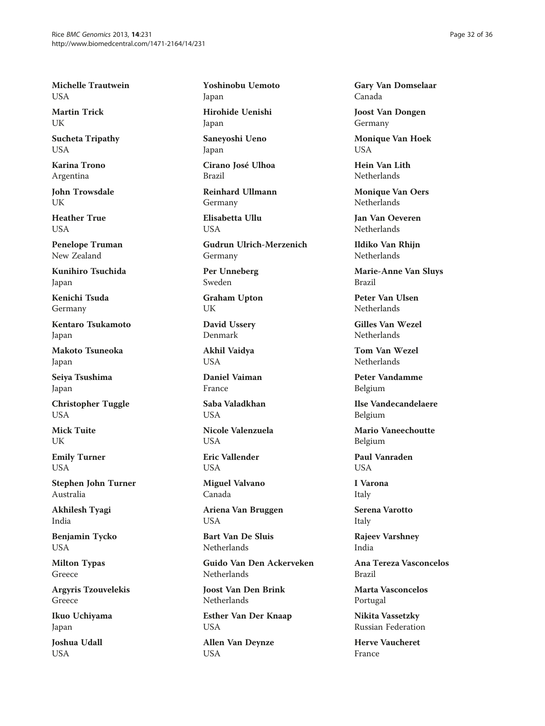Michelle Trautwein USA

Martin Trick **I** IK

Sucheta Tripathy **USA** 

Karina Trono Argentina

John Trowsdale **I** IK

Heather True USA

Penelope Truman New Zealand

Kunihiro Tsuchida Japan

Kenichi Tsuda Germany

Kentaro Tsukamoto Japan

Makoto Tsuneoka Japan

Seiya Tsushima Japan

Christopher Tuggle **USA** 

Mick Tuite UK

Emily Turner USA

Stephen John Turner Australia

Akhilesh Tyagi India

Benjamin Tycko USA

Milton Typas Greece

Argyris Tzouvelekis Greece

Ikuo Uchiyama Japan

Joshua Udall USA

Yoshinobu Uemoto Japan Hirohide Uenishi Japan

Saneyoshi Ueno Japan

Cirano José Ulhoa Brazil

Reinhard Ullmann Germany

Elisabetta Ullu **USA** 

Gudrun Ulrich-Merzenich Germany

Per Unneberg Sweden

Graham Upton UK

David Ussery Denmark

Akhil Vaidya USA

Daniel Vaiman France

Saba Valadkhan **USA** 

Nicole Valenzuela **USA** 

Eric Vallender **USA** 

Miguel Valvano Canada

Ariena Van Bruggen USA

Bart Van De Sluis Netherlands

Guido Van Den Ackerveken **Netherlands** 

Joost Van Den Brink **Netherlands** 

Esther Van Der Knaap USA

Allen Van Deynze USA

Gary Van Domselaar Canada

Joost Van Dongen Germany

Monique Van Hoek  $I$   $I$  $S$  $\Delta$ 

Hein Van Lith Netherlands

Monique Van Oers Netherlands

Jan Van Oeveren Netherlands

Ildiko Van Rhijn **Netherlands** 

Marie-Anne Van Sluys Brazil

Peter Van Ulsen Netherlands

Gilles Van Wezel Netherlands

Tom Van Wezel **Netherlands** 

Peter Vandamme Belgium

Ilse Vandecandelaere Belgium

Mario Vaneechoutte Belgium

Paul Vanraden **USA** 

I Varona Italy

Serena Varotto Italy

Rajeev Varshney India

Ana Tereza Vasconcelos Brazil

Marta Vasconcelos Portugal

Nikita Vassetzky Russian Federation

Herve Vaucheret France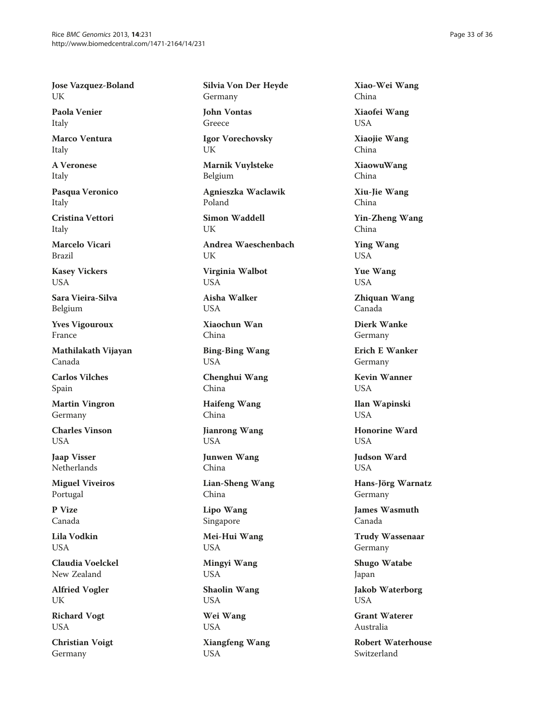Jose Vazquez-Boland UK

Paola Venier Italy

Marco Ventura Italy

A Veronese Italy

Pasqua Veronico Italy

Cristina Vettori Italy

Marcelo Vicari Brazil

Kasey Vickers USA

Sara Vieira-Silva Belgium

Yves Vigouroux France

Mathilakath Vijayan Canada

Carlos Vilches Spain

Martin Vingron Germany

Charles Vinson USA

Jaap Visser **Netherlands** 

Miguel Viveiros Portugal

P Vize Canada

Lila Vodkin USA

Claudia Voelckel New Zealand

Alfried Vogler UK

Richard Vogt USA

Christian Voigt Germany

Silvia Von Der Heyde Germany

John Vontas Greece

Igor Vorechovsky UK

Marnik Vuylsteke Belgium

Agnieszka Waclawik Poland

Simon Waddell **IK** Andrea Waeschenbach

**I** IK Virginia Walbot USA

Aisha Walker USA

Xiaochun Wan China

Bing-Bing Wang USA

Chenghui Wang China

Haifeng Wang China

Jianrong Wang USA

Junwen Wang China

Lian-Sheng Wang China

Lipo Wang Singapore

Mei-Hui Wang USA

Mingyi Wang USA

Shaolin Wang USA

Wei Wang USA

Xiangfeng Wang USA

Xiao-Wei Wang China

Xiaofei Wang USA

Xiaojie Wang China

XiaowuWang China

Xiu-Jie Wang China

Yin-Zheng Wang China

Ying Wang USA

Yue Wang USA

Zhiquan Wang Canada

Dierk Wanke Germany

Erich E Wanker Germany

Kevin Wanner **USA** 

Ilan Wapinski **USA** 

Honorine Ward **USA** 

Judson Ward **USA** 

Hans-Jörg Warnatz Germany

James Wasmuth Canada

Trudy Wassenaar Germany

Shugo Watabe Japan

Jakob Waterborg USA

Grant Waterer Australia

Robert Waterhouse Switzerland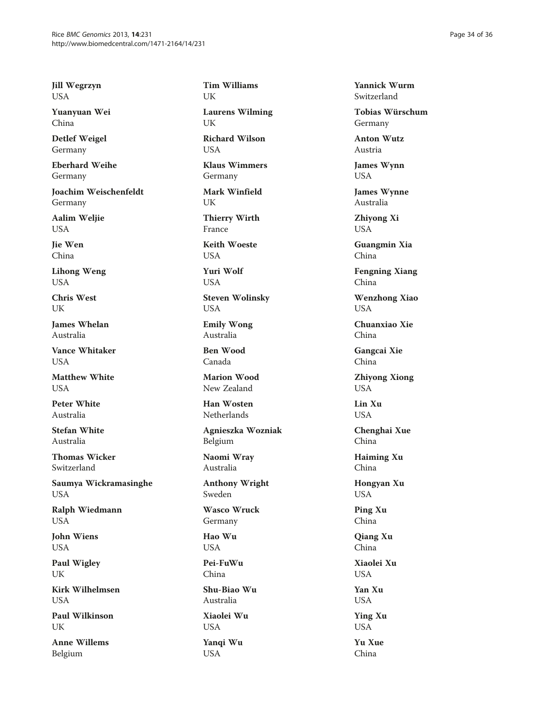Jill Wegrzyn USA

Yuanyuan Wei China

Detlef Weigel Germany

Eberhard Weihe Germany

Joachim Weischenfeldt Germany

Aalim Weljie USA

Jie Wen China

Lihong Weng USA

Chris West UK

James Whelan Australia

Vance Whitaker **USA** 

Matthew White **USA** 

Peter White Australia

Stefan White Australia

Thomas Wicker Switzerland

Saumya Wickramasinghe USA

Ralph Wiedmann USA

John Wiens USA

Paul Wigley UK

Kirk Wilhelmsen USA

Paul Wilkinson UK

Anne Willems Belgium

Tim Williams UK

Laurens Wilming UK

Richard Wilson **USA** 

Klaus Wimmers Germany

Mark Winfield **IK** 

Thierry Wirth France

Keith Woeste **USA** 

Yuri Wolf USA

Steven Wolinsky USA

Emily Wong Australia

Ben Wood Canada

Marion Wood New Zealand

Han Wosten Netherlands

Agnieszka Wozniak Belgium

Naomi Wray Australia

Anthony Wright Sweden

Wasco Wruck Germany

Hao Wu USA

Pei-FuWu China

Shu-Biao Wu Australia

Xiaolei Wu USA

Yanqi Wu USA

Yannick Wurm Switzerland

Tobias Würschum Germany

Anton Wutz Austria

James Wynn USA

James Wynne Australia

Zhiyong Xi USA

Guangmin Xia China

Fengning Xiang China

Wenzhong Xiao USA

Chuanxiao Xie China

Gangcai Xie China

Zhiyong Xiong USA

Lin Xu **USA** 

Chenghai Xue China

Haiming Xu China

Hongyan Xu USA

Ping Xu China

Qiang Xu China

Xiaolei Xu USA

Yan Xu USA

Ying Xu USA

Yu Xue China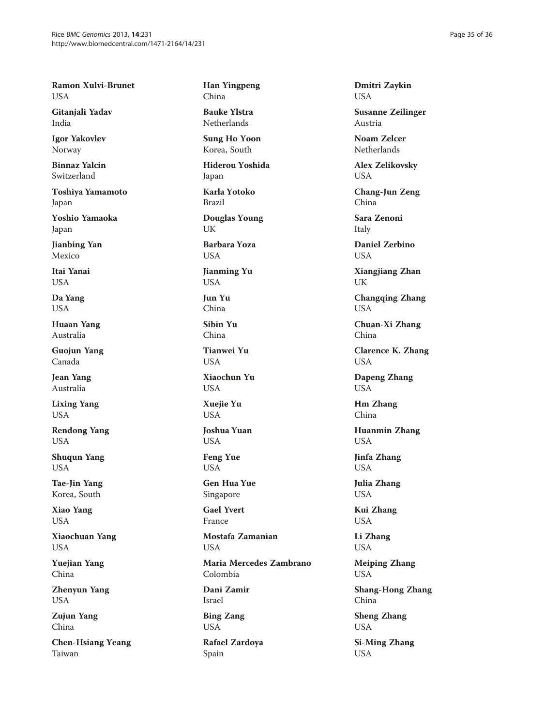Ramon Xulvi-Brunet USA

Gitanjali Yadav India

Igor Yakovlev Norway

Binnaz Yalcin Switzerland

Toshiya Yamamoto Japan

Yoshio Yamaoka Japan

Jianbing Yan Mexico

Itai Yanai USA

Da Yang USA

Huaan Yang Australia

Guojun Yang Canada

Jean Yang Australia

Lixing Yang USA

Rendong Yang USA

Shuqun Yang USA

Tae-Jin Yang Korea, South

Xiao Yang USA

Xiaochuan Yang USA

Yuejian Yang China

Zhenyun Yang USA

Zujun Yang China

Chen-Hsiang Yeang Taiwan

Han Yingpeng China

Bauke Ylstra Netherlands

Sung Ho Yoon Korea, South

Hiderou Yoshida Japan

Karla Yotoko Brazil

Douglas Young UK

Barbara Yoza **USA** 

Jianming Yu USA

Jun Yu China

Sibin Yu China

Tianwei Yu **USA** 

Xiaochun Yu **USA** 

Xuejie Yu **USA** 

Joshua Yuan USA

Feng Yue USA

Gen Hua Yue Singapore

Gael Yvert France

Mostafa Zamanian USA

Maria Mercedes Zambrano Colombia

Dani Zamir Israel

Bing Zang USA

Rafael Zardoya Spain

Dmitri Zaykin USA

Susanne Zeilinger Austria

Noam Zelcer Netherlands

Alex Zelikovsky USA

Chang-Jun Zeng China

Sara Zenoni Italy

Daniel Zerbino **I** IS A

Xiangjiang Zhan UK

Changqing Zhang USA

Chuan-Xi Zhang China

Clarence K. Zhang USA

Dapeng Zhang USA

Hm Zhang China

Huanmin Zhang USA

Jinfa Zhang USA

Julia Zhang USA

Kui Zhang USA

Li Zhang USA

Meiping Zhang USA

Shang-Hong Zhang China

Sheng Zhang USA

Si-Ming Zhang USA